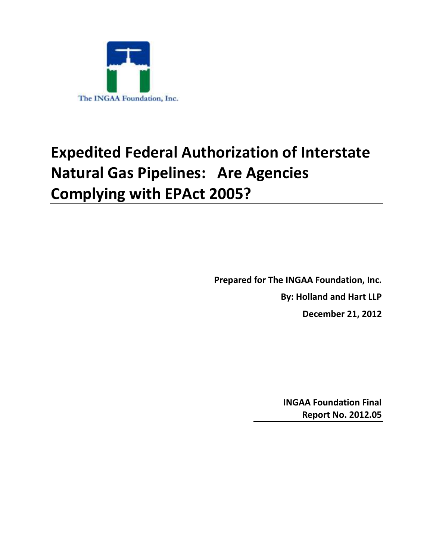

# **Expedited Federal Authorization of Interstate Natural Gas Pipelines: Are Agencies Complying with EPAct 2005?**

**Prepared for The INGAA Foundation, Inc. By: Holland and Hart LLP December 21, 2012**

> **INGAA Foundation Final Report No. 2012.05**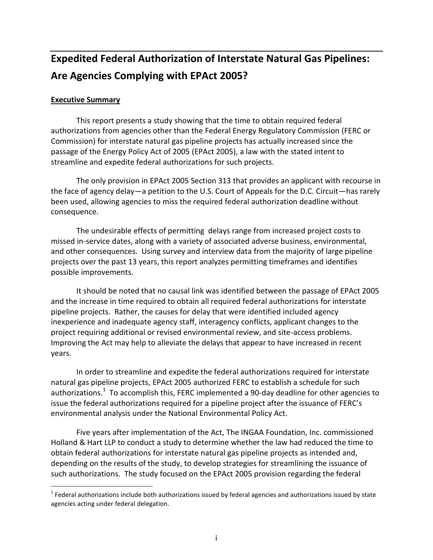# **Expedited Federal Authorization of Interstate Natural Gas Pipelines: Are Agencies Complying with EPAct 2005?**

#### **Executive Summary**

 $\overline{a}$ 

This report presents a study showing that the time to obtain required federal authorizations from agencies other than the Federal Energy Regulatory Commission (FERC or Commission) for interstate natural gas pipeline projects has actually increased since the passage of the Energy Policy Act of 2005 (EPAct 2005), a law with the stated intent to streamline and expedite federal authorizations for such projects.

The only provision in EPAct 2005 Section 313 that provides an applicant with recourse in the face of agency delay—a petition to the U.S. Court of Appeals for the D.C. Circuit—has rarely been used, allowing agencies to miss the required federal authorization deadline without consequence.

The undesirable effects of permitting delays range from increased project costs to missed in-service dates, along with a variety of associated adverse business, environmental, and other consequences. Using survey and interview data from the majority of large pipeline projects over the past 13 years, this report analyzes permitting timeframes and identifies possible improvements.

It should be noted that no causal link was identified between the passage of EPAct 2005 and the increase in time required to obtain all required federal authorizations for interstate pipeline projects. Rather, the causes for delay that were identified included agency inexperience and inadequate agency staff, interagency conflicts, applicant changes to the project requiring additional or revised environmental review, and site-access problems. Improving the Act may help to alleviate the delays that appear to have increased in recent years.

In order to streamline and expedite the federal authorizations required for interstate natural gas pipeline projects, EPAct 2005 authorized FERC to establish a schedule for such authorizations.<sup>1</sup> To accomplish this, FERC implemented a 90-day deadline for other agencies to issue the federal authorizations required for a pipeline project after the issuance of FERC's environmental analysis under the National Environmental Policy Act.

Five years after implementation of the Act, The INGAA Foundation, Inc. commissioned Holland & Hart LLP to conduct a study to determine whether the law had reduced the time to obtain federal authorizations for interstate natural gas pipeline projects as intended and, depending on the results of the study, to develop strategies for streamlining the issuance of such authorizations. The study focused on the EPAct 2005 provision regarding the federal

 $1$  Federal authorizations include both authorizations issued by federal agencies and authorizations issued by state agencies acting under federal delegation.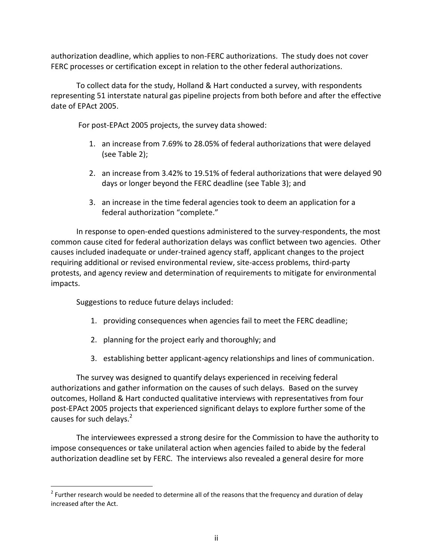authorization deadline, which applies to non-FERC authorizations. The study does not cover FERC processes or certification except in relation to the other federal authorizations.

To collect data for the study, Holland & Hart conducted a survey, with respondents representing 51 interstate natural gas pipeline projects from both before and after the effective date of EPAct 2005.

For post-EPAct 2005 projects, the survey data showed:

- 1. an increase from 7.69% to 28.05% of federal authorizations that were delayed (see Table 2);
- 2. an increase from 3.42% to 19.51% of federal authorizations that were delayed 90 days or longer beyond the FERC deadline (see Table 3); and
- 3. an increase in the time federal agencies took to deem an application for a federal authorization "complete."

In response to open-ended questions administered to the survey-respondents, the most common cause cited for federal authorization delays was conflict between two agencies. Other causes included inadequate or under-trained agency staff, applicant changes to the project requiring additional or revised environmental review, site-access problems, third-party protests, and agency review and determination of requirements to mitigate for environmental impacts.

Suggestions to reduce future delays included:

 $\overline{a}$ 

- 1. providing consequences when agencies fail to meet the FERC deadline;
- 2. planning for the project early and thoroughly; and
- 3. establishing better applicant-agency relationships and lines of communication.

The survey was designed to quantify delays experienced in receiving federal authorizations and gather information on the causes of such delays. Based on the survey outcomes, Holland & Hart conducted qualitative interviews with representatives from four post-EPAct 2005 projects that experienced significant delays to explore further some of the causes for such delays.<sup>2</sup>

The interviewees expressed a strong desire for the Commission to have the authority to impose consequences or take unilateral action when agencies failed to abide by the federal authorization deadline set by FERC. The interviews also revealed a general desire for more

 $2$  Further research would be needed to determine all of the reasons that the frequency and duration of delay increased after the Act.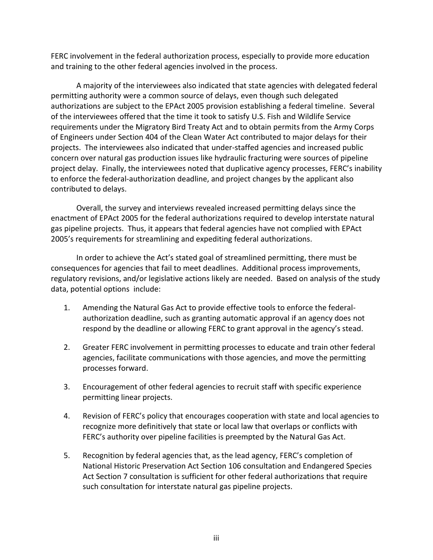FERC involvement in the federal authorization process, especially to provide more education and training to the other federal agencies involved in the process.

A majority of the interviewees also indicated that state agencies with delegated federal permitting authority were a common source of delays, even though such delegated authorizations are subject to the EPAct 2005 provision establishing a federal timeline. Several of the interviewees offered that the time it took to satisfy U.S. Fish and Wildlife Service requirements under the Migratory Bird Treaty Act and to obtain permits from the Army Corps of Engineers under Section 404 of the Clean Water Act contributed to major delays for their projects. The interviewees also indicated that under-staffed agencies and increased public concern over natural gas production issues like hydraulic fracturing were sources of pipeline project delay. Finally, the interviewees noted that duplicative agency processes, FERC's inability to enforce the federal-authorization deadline, and project changes by the applicant also contributed to delays.

Overall, the survey and interviews revealed increased permitting delays since the enactment of EPAct 2005 for the federal authorizations required to develop interstate natural gas pipeline projects. Thus, it appears that federal agencies have not complied with EPAct 2005's requirements for streamlining and expediting federal authorizations.

In order to achieve the Act's stated goal of streamlined permitting, there must be consequences for agencies that fail to meet deadlines. Additional process improvements, regulatory revisions, and/or legislative actions likely are needed. Based on analysis of the study data, potential options include:

- 1. Amending the Natural Gas Act to provide effective tools to enforce the federalauthorization deadline, such as granting automatic approval if an agency does not respond by the deadline or allowing FERC to grant approval in the agency's stead.
- 2. Greater FERC involvement in permitting processes to educate and train other federal agencies, facilitate communications with those agencies, and move the permitting processes forward.
- 3. Encouragement of other federal agencies to recruit staff with specific experience permitting linear projects.
- 4. Revision of FERC's policy that encourages cooperation with state and local agencies to recognize more definitively that state or local law that overlaps or conflicts with FERC's authority over pipeline facilities is preempted by the Natural Gas Act.
- 5. Recognition by federal agencies that, as the lead agency, FERC's completion of National Historic Preservation Act Section 106 consultation and Endangered Species Act Section 7 consultation is sufficient for other federal authorizations that require such consultation for interstate natural gas pipeline projects.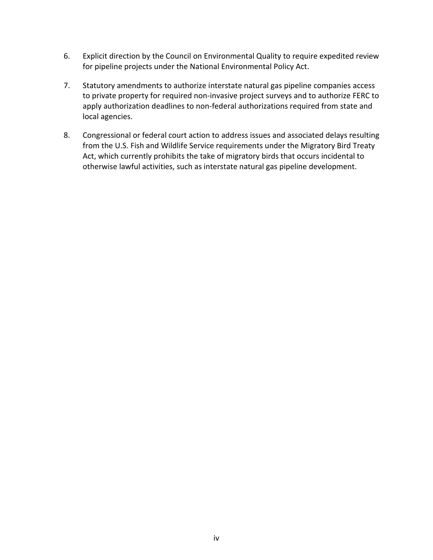- 6. Explicit direction by the Council on Environmental Quality to require expedited review for pipeline projects under the National Environmental Policy Act.
- 7. Statutory amendments to authorize interstate natural gas pipeline companies access to private property for required non-invasive project surveys and to authorize FERC to apply authorization deadlines to non-federal authorizations required from state and local agencies.
- 8. Congressional or federal court action to address issues and associated delays resulting from the U.S. Fish and Wildlife Service requirements under the Migratory Bird Treaty Act, which currently prohibits the take of migratory birds that occurs incidental to otherwise lawful activities, such as interstate natural gas pipeline development.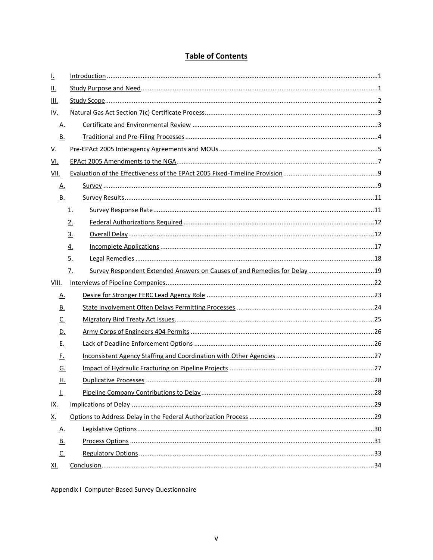# **Table of Contents**

| <u>l.</u>    |                   |  |  |  |  |  |  |  |  |
|--------------|-------------------|--|--|--|--|--|--|--|--|
| <u>II.</u>   |                   |  |  |  |  |  |  |  |  |
| <u>III.</u>  |                   |  |  |  |  |  |  |  |  |
| <u>IV.</u>   |                   |  |  |  |  |  |  |  |  |
| <u>A.</u>    |                   |  |  |  |  |  |  |  |  |
| В.           |                   |  |  |  |  |  |  |  |  |
| <u>V.</u>    |                   |  |  |  |  |  |  |  |  |
| <u>VI.</u>   |                   |  |  |  |  |  |  |  |  |
| <u>VII.</u>  |                   |  |  |  |  |  |  |  |  |
| <u>A.</u>    |                   |  |  |  |  |  |  |  |  |
| <u>B.</u>    |                   |  |  |  |  |  |  |  |  |
|              | 1.                |  |  |  |  |  |  |  |  |
|              | 2.                |  |  |  |  |  |  |  |  |
|              | $\underline{3}$ . |  |  |  |  |  |  |  |  |
|              | <u>4.</u>         |  |  |  |  |  |  |  |  |
|              | 5.                |  |  |  |  |  |  |  |  |
|              | $Z_{\rm{r}}$      |  |  |  |  |  |  |  |  |
| <b>VIII.</b> |                   |  |  |  |  |  |  |  |  |
| <u>A.</u>    |                   |  |  |  |  |  |  |  |  |
| <u>B.</u>    |                   |  |  |  |  |  |  |  |  |
| <u>c.</u>    |                   |  |  |  |  |  |  |  |  |
| <u>D.</u>    |                   |  |  |  |  |  |  |  |  |
| <u>E.</u>    |                   |  |  |  |  |  |  |  |  |
| <u>F.</u>    |                   |  |  |  |  |  |  |  |  |
| <u>G.</u>    |                   |  |  |  |  |  |  |  |  |
| Η.           |                   |  |  |  |  |  |  |  |  |
| Ŀ            |                   |  |  |  |  |  |  |  |  |
| <u>IX.</u>   |                   |  |  |  |  |  |  |  |  |
| <u>X.</u>    |                   |  |  |  |  |  |  |  |  |
| <u>A.</u>    |                   |  |  |  |  |  |  |  |  |
| <u>B.</u>    |                   |  |  |  |  |  |  |  |  |
| $C_{\cdot}$  |                   |  |  |  |  |  |  |  |  |
| <u>XI.</u>   |                   |  |  |  |  |  |  |  |  |

Appendix I Computer-Based Survey Questionnaire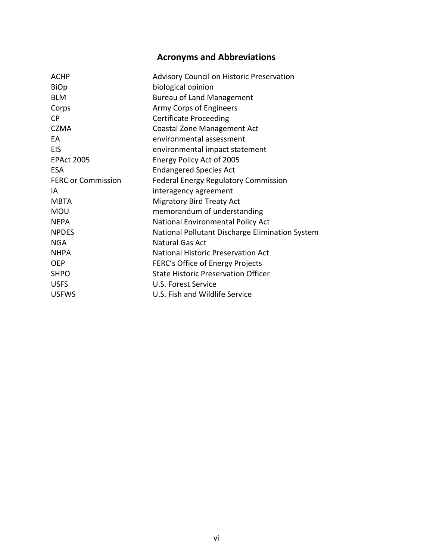# **Acronyms and Abbreviations**

| <b>ACHP</b>               | <b>Advisory Council on Historic Preservation</b> |
|---------------------------|--------------------------------------------------|
| <b>BiOp</b>               | biological opinion                               |
| <b>BLM</b>                | <b>Bureau of Land Management</b>                 |
| Corps                     | Army Corps of Engineers                          |
| <b>CP</b>                 | <b>Certificate Proceeding</b>                    |
| <b>CZMA</b>               | Coastal Zone Management Act                      |
| EA                        | environmental assessment                         |
| <b>EIS</b>                | environmental impact statement                   |
| <b>EPAct 2005</b>         | Energy Policy Act of 2005                        |
| ESA                       | <b>Endangered Species Act</b>                    |
| <b>FERC or Commission</b> | <b>Federal Energy Regulatory Commission</b>      |
| ΙA                        | interagency agreement                            |
| <b>MBTA</b>               | <b>Migratory Bird Treaty Act</b>                 |
| <b>MOU</b>                | memorandum of understanding                      |
| <b>NEPA</b>               | National Environmental Policy Act                |
| <b>NPDES</b>              | National Pollutant Discharge Elimination System  |
| <b>NGA</b>                | Natural Gas Act                                  |
| <b>NHPA</b>               | <b>National Historic Preservation Act</b>        |
| <b>OEP</b>                | FERC's Office of Energy Projects                 |
| <b>SHPO</b>               | <b>State Historic Preservation Officer</b>       |
| <b>USFS</b>               | U.S. Forest Service                              |
| <b>USFWS</b>              | U.S. Fish and Wildlife Service                   |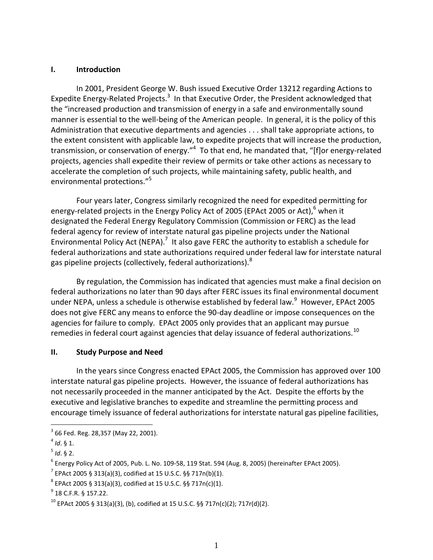#### **I. Introduction**

In 2001, President George W. Bush issued Executive Order 13212 regarding Actions to Expedite Energy-Related Projects.<sup>3</sup> In that Executive Order, the President acknowledged that the "increased production and transmission of energy in a safe and environmentally sound manner is essential to the well-being of the American people. In general, it is the policy of this Administration that executive departments and agencies . . . shall take appropriate actions, to the extent consistent with applicable law, to expedite projects that will increase the production, transmission, or conservation of energy."<sup>4</sup> To that end, he mandated that, "[f]or energy-related projects, agencies shall expedite their review of permits or take other actions as necessary to accelerate the completion of such projects, while maintaining safety, public health, and environmental protections."<sup>5</sup>

Four years later, Congress similarly recognized the need for expedited permitting for energy-related projects in the Energy Policy Act of 2005 (EPAct 2005 or Act),  $6$  when it designated the Federal Energy Regulatory Commission (Commission or FERC) as the lead federal agency for review of interstate natural gas pipeline projects under the National Environmental Policy Act (NEPA).<sup>7</sup> It also gave FERC the authority to establish a schedule for federal authorizations and state authorizations required under federal law for interstate natural gas pipeline projects (collectively, federal authorizations).<sup>8</sup>

By regulation, the Commission has indicated that agencies must make a final decision on federal authorizations no later than 90 days after FERC issues its final environmental document under NEPA, unless a schedule is otherwise established by federal law. $9$  However, EPAct 2005 does not give FERC any means to enforce the 90-day deadline or impose consequences on the agencies for failure to comply. EPAct 2005 only provides that an applicant may pursue remedies in federal court against agencies that delay issuance of federal authorizations. $^{10}$ 

#### **II. Study Purpose and Need**

In the years since Congress enacted EPAct 2005, the Commission has approved over 100 interstate natural gas pipeline projects. However, the issuance of federal authorizations has not necessarily proceeded in the manner anticipated by the Act. Despite the efforts by the executive and legislative branches to expedite and streamline the permitting process and encourage timely issuance of federal authorizations for interstate natural gas pipeline facilities,

 $^3$  66 Fed. Reg. 28,357 (May 22, 2001).

<sup>4</sup> *Id*. § 1.

<sup>5</sup> *Id*. § 2.

 $^6$  Energy Policy Act of 2005, Pub. L. No. 109-58, 119 Stat. 594 (Aug. 8, 2005) (hereinafter EPAct 2005).

 $^{7}$  EPAct 2005 § 313(a)(3), codified at 15 U.S.C. §§ 717n(b)(1).

 $^8$  EPAct 2005 § 313(a)(3), codified at 15 U.S.C. §§ 717n(c)(1).

 $^{9}$  18 C.F.R. § 157.22.

<sup>&</sup>lt;sup>10</sup> EPAct 2005 § 313(a)(3), (b), codified at 15 U.S.C. §§ 717n(c)(2); 717r(d)(2).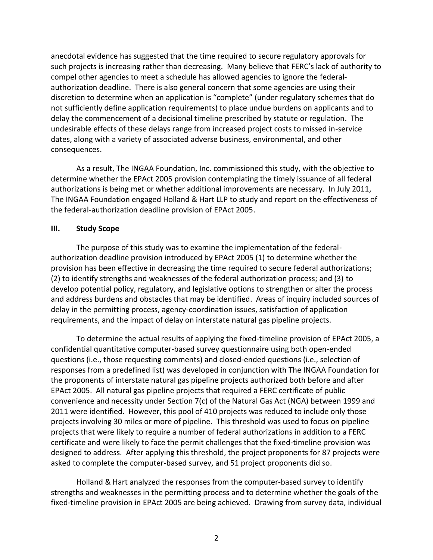anecdotal evidence has suggested that the time required to secure regulatory approvals for such projects is increasing rather than decreasing. Many believe that FERC's lack of authority to compel other agencies to meet a schedule has allowed agencies to ignore the federalauthorization deadline. There is also general concern that some agencies are using their discretion to determine when an application is "complete" (under regulatory schemes that do not sufficiently define application requirements) to place undue burdens on applicants and to delay the commencement of a decisional timeline prescribed by statute or regulation. The undesirable effects of these delays range from increased project costs to missed in-service dates, along with a variety of associated adverse business, environmental, and other consequences.

As a result, The INGAA Foundation, Inc. commissioned this study, with the objective to determine whether the EPAct 2005 provision contemplating the timely issuance of all federal authorizations is being met or whether additional improvements are necessary. In July 2011, The INGAA Foundation engaged Holland & Hart LLP to study and report on the effectiveness of the federal-authorization deadline provision of EPAct 2005.

#### **III. Study Scope**

The purpose of this study was to examine the implementation of the federalauthorization deadline provision introduced by EPAct 2005 (1) to determine whether the provision has been effective in decreasing the time required to secure federal authorizations; (2) to identify strengths and weaknesses of the federal authorization process; and (3) to develop potential policy, regulatory, and legislative options to strengthen or alter the process and address burdens and obstacles that may be identified. Areas of inquiry included sources of delay in the permitting process, agency-coordination issues, satisfaction of application requirements, and the impact of delay on interstate natural gas pipeline projects.

To determine the actual results of applying the fixed-timeline provision of EPAct 2005, a confidential quantitative computer-based survey questionnaire using both open-ended questions (i.e., those requesting comments) and closed-ended questions (i.e., selection of responses from a predefined list) was developed in conjunction with The INGAA Foundation for the proponents of interstate natural gas pipeline projects authorized both before and after EPAct 2005. All natural gas pipeline projects that required a FERC certificate of public convenience and necessity under Section 7(c) of the Natural Gas Act (NGA) between 1999 and 2011 were identified. However, this pool of 410 projects was reduced to include only those projects involving 30 miles or more of pipeline. This threshold was used to focus on pipeline projects that were likely to require a number of federal authorizations in addition to a FERC certificate and were likely to face the permit challenges that the fixed-timeline provision was designed to address. After applying this threshold, the project proponents for 87 projects were asked to complete the computer-based survey, and 51 project proponents did so.

Holland & Hart analyzed the responses from the computer-based survey to identify strengths and weaknesses in the permitting process and to determine whether the goals of the fixed-timeline provision in EPAct 2005 are being achieved. Drawing from survey data, individual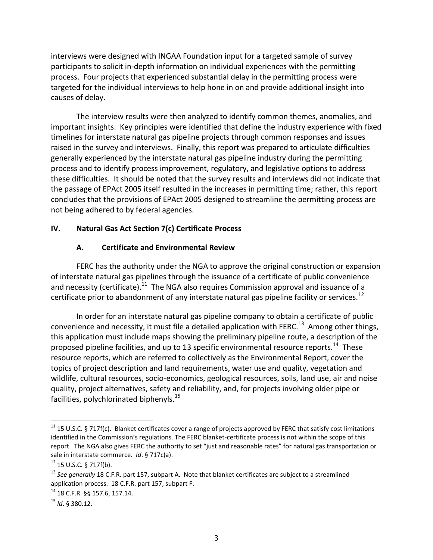interviews were designed with INGAA Foundation input for a targeted sample of survey participants to solicit in-depth information on individual experiences with the permitting process. Four projects that experienced substantial delay in the permitting process were targeted for the individual interviews to help hone in on and provide additional insight into causes of delay.

The interview results were then analyzed to identify common themes, anomalies, and important insights. Key principles were identified that define the industry experience with fixed timelines for interstate natural gas pipeline projects through common responses and issues raised in the survey and interviews. Finally, this report was prepared to articulate difficulties generally experienced by the interstate natural gas pipeline industry during the permitting process and to identify process improvement, regulatory, and legislative options to address these difficulties. It should be noted that the survey results and interviews did not indicate that the passage of EPAct 2005 itself resulted in the increases in permitting time; rather, this report concludes that the provisions of EPAct 2005 designed to streamline the permitting process are not being adhered to by federal agencies.

#### **IV. Natural Gas Act Section 7(c) Certificate Process**

#### **A. Certificate and Environmental Review**

FERC has the authority under the NGA to approve the original construction or expansion of interstate natural gas pipelines through the issuance of a certificate of public convenience and necessity (certificate).<sup>11</sup> The NGA also requires Commission approval and issuance of a certificate prior to abandonment of any interstate natural gas pipeline facility or services.<sup>12</sup>

In order for an interstate natural gas pipeline company to obtain a certificate of public convenience and necessity, it must file a detailed application with FERC.<sup>13</sup> Among other things, this application must include maps showing the preliminary pipeline route, a description of the proposed pipeline facilities, and up to 13 specific environmental resource reports.<sup>14</sup> These resource reports, which are referred to collectively as the Environmental Report, cover the topics of project description and land requirements, water use and quality, vegetation and wildlife, cultural resources, socio-economics, geological resources, soils, land use, air and noise quality, project alternatives, safety and reliability, and, for projects involving older pipe or facilities, polychlorinated biphenyls.<sup>15</sup>

 $11$  15 U.S.C. § 717f(c). Blanket certificates cover a range of projects approved by FERC that satisfy cost limitations identified in the Commission's regulations. The FERC blanket-certificate process is not within the scope of this report. The NGA also gives FERC the authority to set "just and reasonable rates" for natural gas transportation or sale in interstate commerce. *Id*. § 717c(a).

 $12$  15 U.S.C. § 717f(b).

<sup>&</sup>lt;sup>13</sup> See generally 18 C.F.R. part 157, subpart A. Note that blanket certificates are subject to a streamlined application process. 18 C.F.R. part 157, subpart F.

<sup>14</sup> 18 C.F.R. §§ 157.6, 157.14.

<sup>15</sup> *Id*. § 380.12.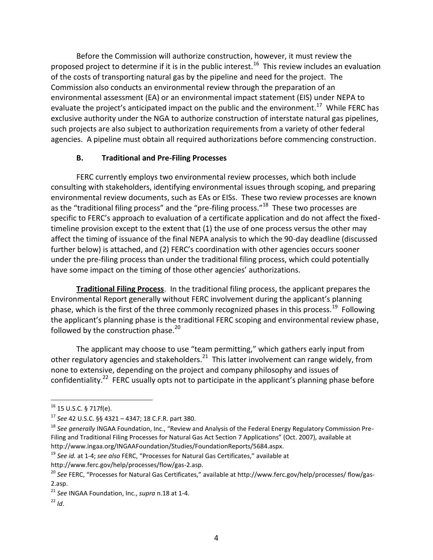Before the Commission will authorize construction, however, it must review the proposed project to determine if it is in the public interest.<sup>16</sup> This review includes an evaluation of the costs of transporting natural gas by the pipeline and need for the project. The Commission also conducts an environmental review through the preparation of an environmental assessment (EA) or an environmental impact statement (EIS) under NEPA to evaluate the project's anticipated impact on the public and the environment.<sup>17</sup> While FERC has exclusive authority under the NGA to authorize construction of interstate natural gas pipelines, such projects are also subject to authorization requirements from a variety of other federal agencies. A pipeline must obtain all required authorizations before commencing construction.

# **B. Traditional and Pre-Filing Processes**

FERC currently employs two environmental review processes, which both include consulting with stakeholders, identifying environmental issues through scoping, and preparing environmental review documents, such as EAs or EISs. These two review processes are known as the "traditional filing process" and the "pre-filing process."<sup>18</sup> These two processes are specific to FERC's approach to evaluation of a certificate application and do not affect the fixedtimeline provision except to the extent that (1) the use of one process versus the other may affect the timing of issuance of the final NEPA analysis to which the 90-day deadline (discussed further below) is attached, and (2) FERC's coordination with other agencies occurs sooner under the pre-filing process than under the traditional filing process, which could potentially have some impact on the timing of those other agencies' authorizations.

**Traditional Filing Process**.In the traditional filing process, the applicant prepares the Environmental Report generally without FERC involvement during the applicant's planning phase, which is the first of the three commonly recognized phases in this process.<sup>19</sup> Following the applicant's planning phase is the traditional FERC scoping and environmental review phase, followed by the construction phase. $20$ 

The applicant may choose to use "team permitting," which gathers early input from other regulatory agencies and stakeholders.<sup>21</sup> This latter involvement can range widely, from none to extensive, depending on the project and company philosophy and issues of confidentiality.<sup>22</sup> FERC usually opts not to participate in the applicant's planning phase before

 $16$  15 U.S.C. § 717f(e).

<sup>17</sup> *See* 42 U.S.C. §§ 4321 – 4347; 18 C.F.R. part 380.

<sup>18</sup> *See generally* INGAA Foundation, Inc., "Review and Analysis of the Federal Energy Regulatory Commission Pre-Filing and Traditional Filing Processes for Natural Gas Act Section 7 Applications" (Oct. 2007), available at http://www.ingaa.org/INGAAFoundation/Studies/FoundationReports/5684.aspx.

<sup>19</sup> *See id.* at 1-4; *see also* FERC, "Processes for Natural Gas Certificates," available at

http://www.ferc.gov/help/processes/flow/gas-2.asp.

<sup>&</sup>lt;sup>20</sup> See FERC, "Processes for Natural Gas Certificates," available at http://www.ferc.gov/help/processes/ flow/gas-2.asp.

<sup>21</sup> *See* INGAA Foundation, Inc., *supra* n.18 at 1-4.

 $^{22}$  *Id.*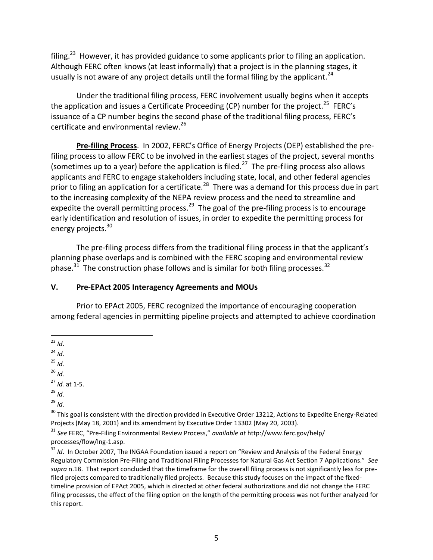filing.<sup>23</sup> However, it has provided guidance to some applicants prior to filing an application. Although FERC often knows (at least informally) that a project is in the planning stages, it usually is not aware of any project details until the formal filing by the applicant.<sup>24</sup>

Under the traditional filing process, FERC involvement usually begins when it accepts the application and issues a Certificate Proceeding (CP) number for the project.<sup>25</sup> FERC's issuance of a CP number begins the second phase of the traditional filing process, FERC's certificate and environmental review.<sup>26</sup>

**Pre-filing Process**.In 2002, FERC's Office of Energy Projects (OEP) established the prefiling process to allow FERC to be involved in the earliest stages of the project, several months (sometimes up to a year) before the application is filed.<sup>27</sup> The pre-filing process also allows applicants and FERC to engage stakeholders including state, local, and other federal agencies prior to filing an application for a certificate.<sup>28</sup> There was a demand for this process due in part to the increasing complexity of the NEPA review process and the need to streamline and expedite the overall permitting process.<sup>29</sup> The goal of the pre-filing process is to encourage early identification and resolution of issues, in order to expedite the permitting process for energy projects.<sup>30</sup>

The pre-filing process differs from the traditional filing process in that the applicant's planning phase overlaps and is combined with the FERC scoping and environmental review phase.<sup>31</sup> The construction phase follows and is similar for both filing processes.<sup>32</sup>

#### **V. Pre-EPAct 2005 Interagency Agreements and MOUs**

Prior to EPAct 2005, FERC recognized the importance of encouraging cooperation among federal agencies in permitting pipeline projects and attempted to achieve coordination

 $^{24}$  *Id.* 

 $^{25}$  *Id.* 

 $^{26}$  *Id.* 

<sup>27</sup> *Id.* at 1-5.

<sup>28</sup> *Id*.

 $^{29}$  *Id.* 

<sup>30</sup> This goal is consistent with the direction provided in Executive Order 13212, Actions to Expedite Energy-Related Projects (May 18, 2001) and its amendment by Executive Order 13302 (May 20, 2003).

<sup>31</sup> *See* FERC, "Pre-Filing Environmental Review Process," *available at* http://www.ferc.gov/help/ processes/flow/lng-1.asp.

<sup>32</sup> *Id.* In October 2007, The INGAA Foundation issued a report on "Review and Analysis of the Federal Energy Regulatory Commission Pre-Filing and Traditional Filing Processes for Natural Gas Act Section 7 Applications." *See supra* n.18. That report concluded that the timeframe for the overall filing process is not significantly less for prefiled projects compared to traditionally filed projects. Because this study focuses on the impact of the fixedtimeline provision of EPAct 2005, which is directed at other federal authorizations and did not change the FERC filing processes, the effect of the filing option on the length of the permitting process was not further analyzed for this report.

 $\overline{a}$ <sup>23</sup> *Id*.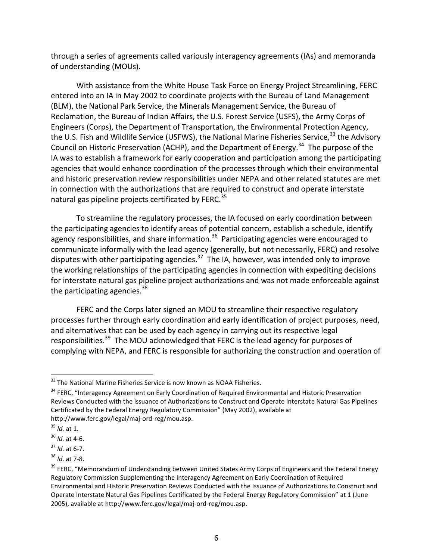through a series of agreements called variously interagency agreements (IAs) and memoranda of understanding (MOUs).

With assistance from the White House Task Force on Energy Project Streamlining, FERC entered into an IA in May 2002 to coordinate projects with the Bureau of Land Management (BLM), the National Park Service, the Minerals Management Service, the Bureau of Reclamation, the Bureau of Indian Affairs, the U.S. Forest Service (USFS), the Army Corps of Engineers (Corps), the Department of Transportation, the Environmental Protection Agency, the U.S. Fish and Wildlife Service (USFWS), the National Marine Fisheries Service, <sup>33</sup> the Advisory Council on Historic Preservation (ACHP), and the Department of Energy.<sup>34</sup> The purpose of the IA was to establish a framework for early cooperation and participation among the participating agencies that would enhance coordination of the processes through which their environmental and historic preservation review responsibilities under NEPA and other related statutes are met in connection with the authorizations that are required to construct and operate interstate natural gas pipeline projects certificated by FERC.<sup>35</sup>

To streamline the regulatory processes, the IA focused on early coordination between the participating agencies to identify areas of potential concern, establish a schedule, identify agency responsibilities, and share information.<sup>36</sup> Participating agencies were encouraged to communicate informally with the lead agency (generally, but not necessarily, FERC) and resolve disputes with other participating agencies.<sup>37</sup> The IA, however, was intended only to improve the working relationships of the participating agencies in connection with expediting decisions for interstate natural gas pipeline project authorizations and was not made enforceable against the participating agencies.<sup>38</sup>

FERC and the Corps later signed an MOU to streamline their respective regulatory processes further through early coordination and early identification of project purposes, need, and alternatives that can be used by each agency in carrying out its respective legal responsibilities.<sup>39</sup> The MOU acknowledged that FERC is the lead agency for purposes of complying with NEPA, and FERC is responsible for authorizing the construction and operation of

 $33$  The National Marine Fisheries Service is now known as NOAA Fisheries.

<sup>&</sup>lt;sup>34</sup> FERC, "Interagency Agreement on Early Coordination of Required Environmental and Historic Preservation Reviews Conducted with the issuance of Authorizations to Construct and Operate Interstate Natural Gas Pipelines Certificated by the Federal Energy Regulatory Commission" (May 2002), available at http://www.ferc.gov/legal/maj-ord-reg/mou.asp.

<sup>35</sup> *Id.* at 1.

<sup>36</sup> *Id.* at 4-6.

<sup>37</sup> *Id.* at 6-7.

<sup>38</sup> *Id.* at 7-8.

<sup>&</sup>lt;sup>39</sup> FERC, "Memorandum of Understanding between United States Army Corps of Engineers and the Federal Energy Regulatory Commission Supplementing the Interagency Agreement on Early Coordination of Required Environmental and Historic Preservation Reviews Conducted with the Issuance of Authorizations to Construct and Operate Interstate Natural Gas Pipelines Certificated by the Federal Energy Regulatory Commission" at 1 (June 2005), available at http://www.ferc.gov/legal/maj-ord-reg/mou.asp.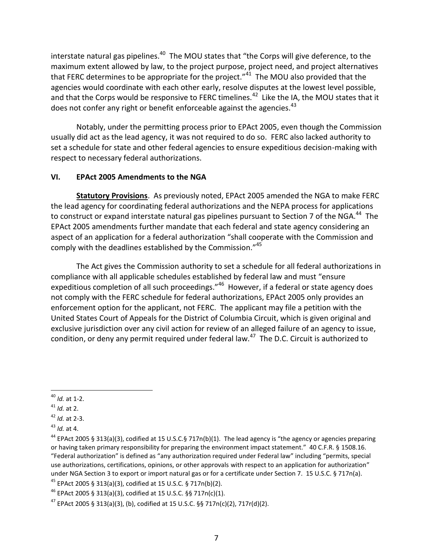interstate natural gas pipelines.<sup>40</sup> The MOU states that "the Corps will give deference, to the maximum extent allowed by law, to the project purpose, project need, and project alternatives that FERC determines to be appropriate for the project."<sup>41</sup> The MOU also provided that the agencies would coordinate with each other early, resolve disputes at the lowest level possible, and that the Corps would be responsive to FERC timelines.<sup>42</sup> Like the IA, the MOU states that it does not confer any right or benefit enforceable against the agencies. $43$ 

Notably, under the permitting process prior to EPAct 2005, even though the Commission usually did act as the lead agency, it was not required to do so. FERC also lacked authority to set a schedule for state and other federal agencies to ensure expeditious decision-making with respect to necessary federal authorizations.

#### **VI. EPAct 2005 Amendments to the NGA**

**Statutory Provisions**. As previously noted, EPAct 2005 amended the NGA to make FERC the lead agency for coordinating federal authorizations and the NEPA process for applications to construct or expand interstate natural gas pipelines pursuant to Section 7 of the NGA.<sup>44</sup> The EPAct 2005 amendments further mandate that each federal and state agency considering an aspect of an application for a federal authorization "shall cooperate with the Commission and comply with the deadlines established by the Commission."<sup>45</sup>

The Act gives the Commission authority to set a schedule for all federal authorizations in compliance with all applicable schedules established by federal law and must "ensure expeditious completion of all such proceedings."<sup>46</sup> However, if a federal or state agency does not comply with the FERC schedule for federal authorizations, EPAct 2005 only provides an enforcement option for the applicant, not FERC. The applicant may file a petition with the United States Court of Appeals for the District of Columbia Circuit, which is given original and exclusive jurisdiction over any civil action for review of an alleged failure of an agency to issue, condition, or deny any permit required under federal law. $47$  The D.C. Circuit is authorized to

<sup>45</sup> EPAct 2005 § 313(a)(3), codified at 15 U.S.C. § 717n(b)(2).

 $\overline{a}$ <sup>40</sup> *Id.* at 1-2.

<sup>41</sup> *Id.* at 2.

<sup>42</sup> *Id.* at 2-3.

<sup>43</sup> *Id.* at 4.

<sup>&</sup>lt;sup>44</sup> EPAct 2005 § 313(a)(3), codified at 15 U.S.C.§ 717n(b)(1). The lead agency is "the agency or agencies preparing or having taken primary responsibility for preparing the environment impact statement." 40 C.F.R. § 1508.16. "Federal authorization" is defined as "any authorization required under Federal law" including "permits, special use authorizations, certifications, opinions, or other approvals with respect to an application for authorization" under NGA Section 3 to export or import natural gas or for a certificate under Section 7. 15 U.S.C. § 717n(a).

 $46$  EPAct 2005 § 313(a)(3), codified at 15 U.S.C. §§ 717n(c)(1).

<sup>&</sup>lt;sup>47</sup> EPAct 2005 § 313(a)(3), (b), codified at 15 U.S.C. §§ 717n(c)(2), 717r(d)(2).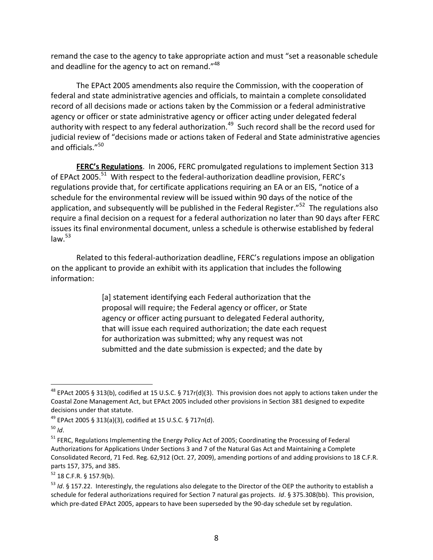remand the case to the agency to take appropriate action and must "set a reasonable schedule and deadline for the agency to act on remand." $48$ 

The EPAct 2005 amendments also require the Commission, with the cooperation of federal and state administrative agencies and officials, to maintain a complete consolidated record of all decisions made or actions taken by the Commission or a federal administrative agency or officer or state administrative agency or officer acting under delegated federal authority with respect to any federal authorization.<sup>49</sup> Such record shall be the record used for judicial review of "decisions made or actions taken of Federal and State administrative agencies and officials."<sup>50</sup>

**FERC's Regulations**. In 2006, FERC promulgated regulations to implement Section 313 of EPAct 2005.<sup>51</sup> With respect to the federal-authorization deadline provision, FERC's regulations provide that, for certificate applications requiring an EA or an EIS, "notice of a schedule for the environmental review will be issued within 90 days of the notice of the application, and subsequently will be published in the Federal Register."<sup>52</sup> The regulations also require a final decision on a request for a federal authorization no later than 90 days after FERC issues its final environmental document, unless a schedule is otherwise established by federal  $law<sup>53</sup>$ 

Related to this federal-authorization deadline, FERC's regulations impose an obligation on the applicant to provide an exhibit with its application that includes the following information:

> [a] statement identifying each Federal authorization that the proposal will require; the Federal agency or officer, or State agency or officer acting pursuant to delegated Federal authority, that will issue each required authorization; the date each request for authorization was submitted; why any request was not submitted and the date submission is expected; and the date by

<sup>&</sup>lt;sup>48</sup> EPAct 2005 § 313(b), codified at 15 U.S.C. § 717r(d)(3). This provision does not apply to actions taken under the Coastal Zone Management Act, but EPAct 2005 included other provisions in Section 381 designed to expedite decisions under that statute.

<sup>49</sup> EPAct 2005 § 313(a)(3), codified at 15 U.S.C. § 717n(d).

<sup>50</sup> *Id*.

<sup>&</sup>lt;sup>51</sup> FERC, Regulations Implementing the Energy Policy Act of 2005; Coordinating the Processing of Federal Authorizations for Applications Under Sections 3 and 7 of the Natural Gas Act and Maintaining a Complete Consolidated Record, 71 Fed. Reg. 62,912 (Oct. 27, 2009), amending portions of and adding provisions to 18 C.F.R. parts 157, 375, and 385.

 $52$  18 C.F.R. § 157.9(b).

<sup>53</sup> *Id*. § 157.22. Interestingly, the regulations also delegate to the Director of the OEP the authority to establish a schedule for federal authorizations required for Section 7 natural gas projects. *Id*. § 375.308(bb). This provision, which pre-dated EPAct 2005, appears to have been superseded by the 90-day schedule set by regulation.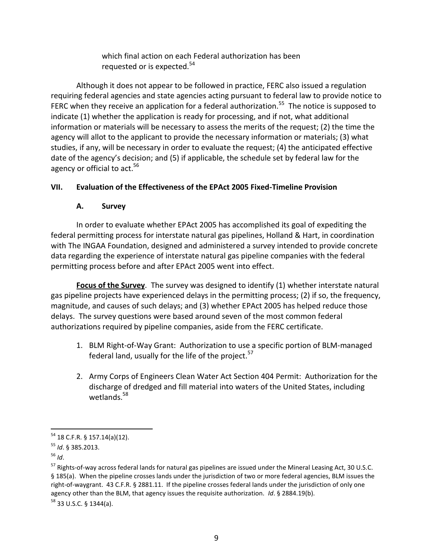which final action on each Federal authorization has been requested or is expected.<sup>54</sup>

Although it does not appear to be followed in practice, FERC also issued a regulation requiring federal agencies and state agencies acting pursuant to federal law to provide notice to FERC when they receive an application for a federal authorization.<sup>55</sup> The notice is supposed to indicate (1) whether the application is ready for processing, and if not, what additional information or materials will be necessary to assess the merits of the request; (2) the time the agency will allot to the applicant to provide the necessary information or materials; (3) what studies, if any, will be necessary in order to evaluate the request; (4) the anticipated effective date of the agency's decision; and (5) if applicable, the schedule set by federal law for the agency or official to act.<sup>56</sup>

# **VII. Evaluation of the Effectiveness of the EPAct 2005 Fixed-Timeline Provision**

# **A. Survey**

In order to evaluate whether EPAct 2005 has accomplished its goal of expediting the federal permitting process for interstate natural gas pipelines, Holland & Hart, in coordination with The INGAA Foundation, designed and administered a survey intended to provide concrete data regarding the experience of interstate natural gas pipeline companies with the federal permitting process before and after EPAct 2005 went into effect.

**Focus of the Survey**. The survey was designed to identify (1) whether interstate natural gas pipeline projects have experienced delays in the permitting process; (2) if so, the frequency, magnitude, and causes of such delays; and (3) whether EPAct 2005 has helped reduce those delays. The survey questions were based around seven of the most common federal authorizations required by pipeline companies, aside from the FERC certificate.

- 1. BLM Right-of-Way Grant: Authorization to use a specific portion of BLM-managed federal land, usually for the life of the project.<sup>57</sup>
- 2. Army Corps of Engineers Clean Water Act Section 404 Permit: Authorization for the discharge of dredged and fill material into waters of the United States, including wetlands.<sup>58</sup>

 $\overline{a}$  $^{54}$  18 C.F.R. § 157.14(a)(12).

<sup>55</sup> *Id*. § 385.2013.

<sup>56</sup> *Id*.

<sup>&</sup>lt;sup>57</sup> Rights-of-way across federal lands for natural gas pipelines are issued under the Mineral Leasing Act, 30 U.S.C. § 185(a). When the pipeline crosses lands under the jurisdiction of two or more federal agencies, BLM issues the right-of-waygrant. 43 C.F.R. § 2881.11. If the pipeline crosses federal lands under the jurisdiction of only one agency other than the BLM, that agency issues the requisite authorization. *Id*. § 2884.19(b).

<sup>58</sup> 33 U.S.C. § 1344(a).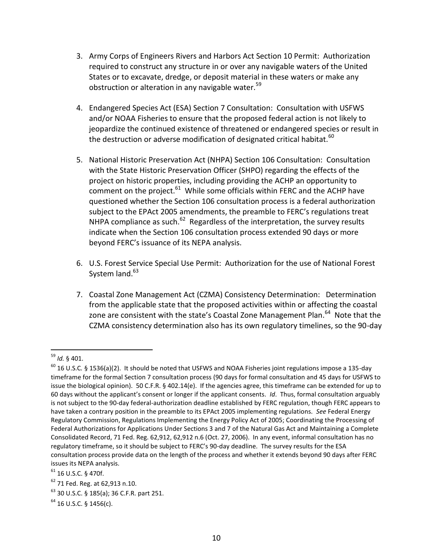- 3. Army Corps of Engineers Rivers and Harbors Act Section 10 Permit: Authorization required to construct any structure in or over any navigable waters of the United States or to excavate, dredge, or deposit material in these waters or make any obstruction or alteration in any navigable water.<sup>59</sup>
- 4. Endangered Species Act (ESA) Section 7 Consultation: Consultation with USFWS and/or NOAA Fisheries to ensure that the proposed federal action is not likely to jeopardize the continued existence of threatened or endangered species or result in the destruction or adverse modification of designated critical habitat.<sup>60</sup>
- 5. National Historic Preservation Act (NHPA) Section 106 Consultation: Consultation with the State Historic Preservation Officer (SHPO) regarding the effects of the project on historic properties, including providing the ACHP an opportunity to comment on the project. $^{61}$  While some officials within FERC and the ACHP have questioned whether the Section 106 consultation process is a federal authorization subject to the EPAct 2005 amendments, the preamble to FERC's regulations treat NHPA compliance as such. $^{62}$  Regardless of the interpretation, the survey results indicate when the Section 106 consultation process extended 90 days or more beyond FERC's issuance of its NEPA analysis.
- 6. U.S. Forest Service Special Use Permit: Authorization for the use of National Forest System land. $63$
- 7. Coastal Zone Management Act (CZMA) Consistency Determination: Determination from the applicable state that the proposed activities within or affecting the coastal zone are consistent with the state's Coastal Zone Management Plan.<sup>64</sup> Note that the CZMA consistency determination also has its own regulatory timelines, so the 90-day

 $\overline{a}$ <sup>59</sup> *Id.* § 401.

<sup>60</sup> 16 U.S.C*.* § 1536(a)(2). It should be noted that USFWS and NOAA Fisheries joint regulations impose a 135-day timeframe for the formal Section 7 consultation process (90 days for formal consultation and 45 days for USFWS to issue the biological opinion). 50 C.F.R. § 402.14(e). If the agencies agree, this timeframe can be extended for up to 60 days without the applicant's consent or longer if the applicant consents. *Id*. Thus, formal consultation arguably is not subject to the 90-day federal-authorization deadline established by FERC regulation, though FERC appears to have taken a contrary position in the preamble to its EPAct 2005 implementing regulations. *See* Federal Energy Regulatory Commission, Regulations Implementing the Energy Policy Act of 2005; Coordinating the Processing of Federal Authorizations for Applications Under Sections 3 and 7 of the Natural Gas Act and Maintaining a Complete Consolidated Record, 71 Fed. Reg. 62,912, 62,912 n.6 (Oct. 27, 2006). In any event, informal consultation has no regulatory timeframe, so it should be subject to FERC's 90-day deadline. The survey results for the ESA consultation process provide data on the length of the process and whether it extends beyond 90 days after FERC issues its NEPA analysis.

<sup>61</sup> 16 U.S.C. § 470f.

<sup>62</sup> 71 Fed. Reg. at 62,913 n.10.

<sup>63</sup> 30 U.S.C. § 185(a); 36 C.F.R. part 251.

 $64$  16 U.S.C. § 1456(c).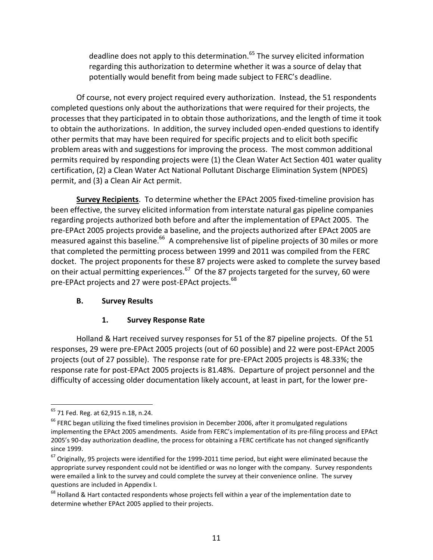deadline does not apply to this determination.<sup>65</sup> The survey elicited information regarding this authorization to determine whether it was a source of delay that potentially would benefit from being made subject to FERC's deadline.

Of course, not every project required every authorization. Instead, the 51 respondents completed questions only about the authorizations that were required for their projects, the processes that they participated in to obtain those authorizations, and the length of time it took to obtain the authorizations. In addition, the survey included open-ended questions to identify other permits that may have been required for specific projects and to elicit both specific problem areas with and suggestions for improving the process. The most common additional permits required by responding projects were (1) the Clean Water Act Section 401 water quality certification, (2) a Clean Water Act National Pollutant Discharge Elimination System (NPDES) permit, and (3) a Clean Air Act permit.

**Survey Recipients**. To determine whether the EPAct 2005 fixed-timeline provision has been effective, the survey elicited information from interstate natural gas pipeline companies regarding projects authorized both before and after the implementation of EPAct 2005. The pre-EPAct 2005 projects provide a baseline, and the projects authorized after EPAct 2005 are measured against this baseline.<sup>66</sup> A comprehensive list of pipeline projects of 30 miles or more that completed the permitting process between 1999 and 2011 was compiled from the FERC docket. The project proponents for these 87 projects were asked to complete the survey based on their actual permitting experiences.<sup>67</sup> Of the 87 projects targeted for the survey, 60 were pre-EPAct projects and 27 were post-EPAct projects.<sup>68</sup>

#### **B. Survey Results**

# **1. Survey Response Rate**

Holland & Hart received survey responses for 51 of the 87 pipeline projects. Of the 51 responses, 29 were pre-EPAct 2005 projects (out of 60 possible) and 22 were post-EPAct 2005 projects (out of 27 possible). The response rate for pre-EPAct 2005 projects is 48.33%; the response rate for post-EPAct 2005 projects is 81.48%. Departure of project personnel and the difficulty of accessing older documentation likely account, at least in part, for the lower pre-

<sup>65</sup> 71 Fed. Reg. at 62,915 n.18, n.24.

 $66$  FERC began utilizing the fixed timelines provision in December 2006, after it promulgated regulations implementing the EPAct 2005 amendments. Aside from FERC's implementation of its pre-filing process and EPAct 2005's 90-day authorization deadline, the process for obtaining a FERC certificate has not changed significantly since 1999.

 $67$  Originally, 95 projects were identified for the 1999-2011 time period, but eight were eliminated because the appropriate survey respondent could not be identified or was no longer with the company. Survey respondents were emailed a link to the survey and could complete the survey at their convenience online. The survey questions are included in Appendix I.

<sup>&</sup>lt;sup>68</sup> Holland & Hart contacted respondents whose projects fell within a year of the implementation date to determine whether EPAct 2005 applied to their projects.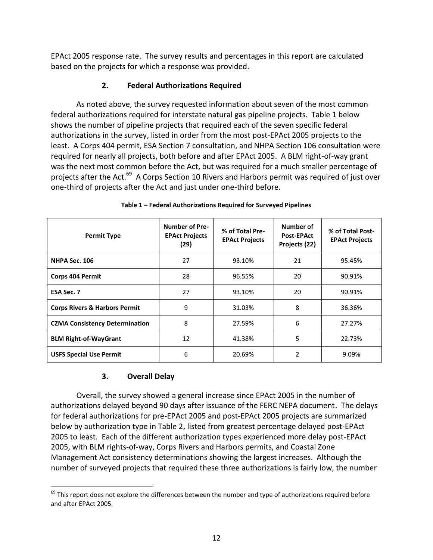EPAct 2005 response rate. The survey results and percentages in this report are calculated based on the projects for which a response was provided.

# **2. Federal Authorizations Required**

As noted above, the survey requested information about seven of the most common federal authorizations required for interstate natural gas pipeline projects. Table 1 below shows the number of pipeline projects that required each of the seven specific federal authorizations in the survey, listed in order from the most post-EPAct 2005 projects to the least. A Corps 404 permit, ESA Section 7 consultation, and NHPA Section 106 consultation were required for nearly all projects, both before and after EPAct 2005. A BLM right-of-way grant was the next most common before the Act, but was required for a much smaller percentage of projects after the Act.<sup>69</sup> A Corps Section 10 Rivers and Harbors permit was required of just over one-third of projects after the Act and just under one-third before.

| <b>Permit Type</b>                       | <b>Number of Pre-</b><br><b>EPAct Projects</b><br>(29) | % of Total Pre-<br><b>EPAct Projects</b> | Number of<br><b>Post-EPAct</b><br>Projects (22) | % of Total Post-<br><b>EPAct Projects</b> |
|------------------------------------------|--------------------------------------------------------|------------------------------------------|-------------------------------------------------|-------------------------------------------|
| NHPA Sec. 106                            | 27                                                     | 93.10%                                   | 21                                              | 95.45%                                    |
| <b>Corps 404 Permit</b>                  | 28                                                     | 96.55%                                   | 20                                              | 90.91%                                    |
| <b>ESA Sec. 7</b>                        | 27                                                     | 93.10%                                   | 20                                              | 90.91%                                    |
| <b>Corps Rivers &amp; Harbors Permit</b> | 9                                                      | 31.03%                                   | 8                                               | 36.36%                                    |
| <b>CZMA Consistency Determination</b>    | 8                                                      | 27.59%                                   | 6                                               | 27.27%                                    |
| <b>BLM Right-of-WayGrant</b>             | 12                                                     | 41.38%                                   | 5                                               | 22.73%                                    |
| <b>USFS Special Use Permit</b>           | 6                                                      | 20.69%                                   | $\overline{\phantom{a}}$                        | 9.09%                                     |

#### **Table 1 – Federal Authorizations Required for Surveyed Pipelines**

#### **3. Overall Delay**

 $\overline{a}$ 

Overall, the survey showed a general increase since EPAct 2005 in the number of authorizations delayed beyond 90 days after issuance of the FERC NEPA document. The delays for federal authorizations for pre-EPAct 2005 and post-EPAct 2005 projects are summarized below by authorization type in Table 2, listed from greatest percentage delayed post-EPAct 2005 to least. Each of the different authorization types experienced more delay post-EPAct 2005, with BLM rights-of-way, Corps Rivers and Harbors permits, and Coastal Zone Management Act consistency determinations showing the largest increases. Although the number of surveyed projects that required these three authorizations is fairly low, the number

 $69$  This report does not explore the differences between the number and type of authorizations required before and after EPAct 2005.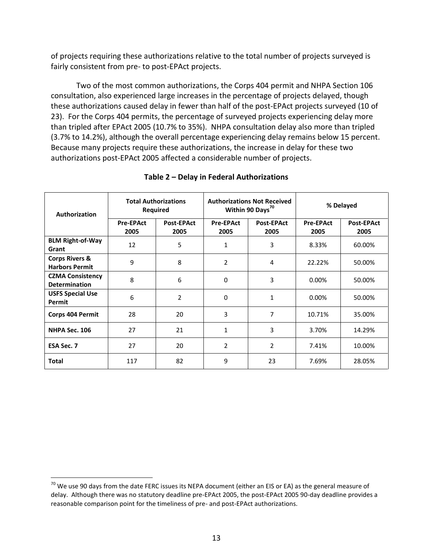of projects requiring these authorizations relative to the total number of projects surveyed is fairly consistent from pre- to post-EPAct projects.

Two of the most common authorizations, the Corps 404 permit and NHPA Section 106 consultation, also experienced large increases in the percentage of projects delayed, though these authorizations caused delay in fewer than half of the post-EPAct projects surveyed (10 of 23). For the Corps 404 permits, the percentage of surveyed projects experiencing delay more than tripled after EPAct 2005 (10.7% to 35%). NHPA consultation delay also more than tripled (3.7% to 14.2%), although the overall percentage experiencing delay remains below 15 percent. Because many projects require these authorizations, the increase in delay for these two authorizations post-EPAct 2005 affected a considerable number of projects.

| Authorization                                      |                          | <b>Total Authorizations</b><br>Required |                          | <b>Authorizations Not Received</b><br>Within 90 Days <sup>70</sup> | % Delayed                |                           |
|----------------------------------------------------|--------------------------|-----------------------------------------|--------------------------|--------------------------------------------------------------------|--------------------------|---------------------------|
|                                                    | <b>Pre-EPAct</b><br>2005 | <b>Post-EPAct</b><br>2005               | <b>Pre-EPAct</b><br>2005 | <b>Post-EPAct</b><br>2005                                          | <b>Pre-EPAct</b><br>2005 | <b>Post-EPAct</b><br>2005 |
| <b>BLM Right-of-Way</b><br>Grant                   | 12                       | 5                                       | $\mathbf{1}$             | 3                                                                  | 8.33%                    | 60.00%                    |
| <b>Corps Rivers &amp;</b><br><b>Harbors Permit</b> | 9                        | 8                                       | 2                        | 4                                                                  | 22.22%                   | 50.00%                    |
| <b>CZMA Consistency</b><br><b>Determination</b>    | 8                        | 6                                       | $\mathbf 0$              | 3                                                                  | 0.00%                    | 50.00%                    |
| <b>USFS Special Use</b><br>Permit                  | 6                        | $\overline{2}$                          | $\mathbf 0$              | 1                                                                  | 0.00%                    | 50.00%                    |
| Corps 404 Permit                                   | 28                       | 20                                      | 3                        | 7                                                                  | 10.71%                   | 35.00%                    |
| NHPA Sec. 106                                      | 27                       | 21                                      | $\mathbf{1}$             | 3                                                                  | 3.70%                    | 14.29%                    |
| <b>ESA Sec. 7</b>                                  | 27                       | 20                                      | $\overline{2}$           | $\overline{2}$                                                     | 7.41%                    | 10.00%                    |
| Total                                              | 117                      | 82                                      | 9                        | 23                                                                 | 7.69%                    | 28.05%                    |

#### **Table 2 – Delay in Federal Authorizations**

 $70$  We use 90 days from the date FERC issues its NEPA document (either an EIS or EA) as the general measure of delay. Although there was no statutory deadline pre-EPAct 2005, the post-EPAct 2005 90-day deadline provides a reasonable comparison point for the timeliness of pre- and post-EPAct authorizations.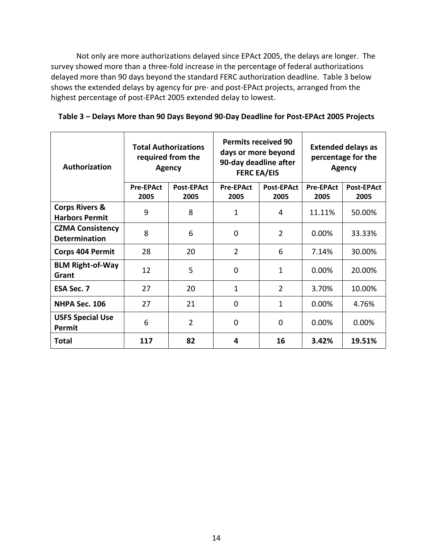Not only are more authorizations delayed since EPAct 2005, the delays are longer. The survey showed more than a three-fold increase in the percentage of federal authorizations delayed more than 90 days beyond the standard FERC authorization deadline. Table 3 below shows the extended delays by agency for pre- and post-EPAct projects, arranged from the highest percentage of post-EPAct 2005 extended delay to lowest.

|  |  |  |  |  | Table 3 - Delays More than 90 Days Beyond 90-Day Deadline for Post-EPAct 2005 Projects |
|--|--|--|--|--|----------------------------------------------------------------------------------------|
|--|--|--|--|--|----------------------------------------------------------------------------------------|

| Authorization                                      | <b>Total Authorizations</b><br>required from the<br><b>Agency</b> |                   | <b>Permits received 90</b><br>days or more beyond<br>90-day deadline after<br><b>FERC EA/EIS</b> |                   | <b>Extended delays as</b><br>percentage for the<br><b>Agency</b> |                   |
|----------------------------------------------------|-------------------------------------------------------------------|-------------------|--------------------------------------------------------------------------------------------------|-------------------|------------------------------------------------------------------|-------------------|
|                                                    | <b>Pre-EPAct</b>                                                  | <b>Post-EPAct</b> | <b>Pre-EPAct</b>                                                                                 | <b>Post-EPAct</b> | <b>Pre-EPAct</b>                                                 | <b>Post-EPAct</b> |
|                                                    | 2005                                                              | 2005              | 2005                                                                                             | 2005              | 2005                                                             | 2005              |
| <b>Corps Rivers &amp;</b><br><b>Harbors Permit</b> | 9                                                                 | 8                 | 1                                                                                                | 4                 | 11.11%                                                           | 50.00%            |
| <b>CZMA Consistency</b><br><b>Determination</b>    | 8                                                                 | 6                 | $\Omega$                                                                                         | $\overline{2}$    | $0.00\%$                                                         | 33.33%            |
| <b>Corps 404 Permit</b>                            | 28                                                                | 20                | $\overline{2}$                                                                                   | 6                 | 7.14%                                                            | 30.00%            |
| <b>BLM Right-of-Way</b><br>Grant                   | 12                                                                | 5                 | $\overline{0}$                                                                                   | 1                 | 0.00%                                                            | 20.00%            |
| <b>ESA Sec. 7</b>                                  | 27                                                                | 20                | 1                                                                                                | $\overline{2}$    | 3.70%                                                            | 10.00%            |
| NHPA Sec. 106                                      | 27                                                                | 21                | $\mathbf 0$                                                                                      | $\mathbf{1}$      | 0.00%                                                            | 4.76%             |
| <b>USFS Special Use</b><br>Permit                  | 6                                                                 | $\overline{2}$    | 0                                                                                                | $\mathbf 0$       | 0.00%                                                            | 0.00%             |
| <b>Total</b>                                       | 117                                                               | 82                | 4                                                                                                | 16                | 3.42%                                                            | 19.51%            |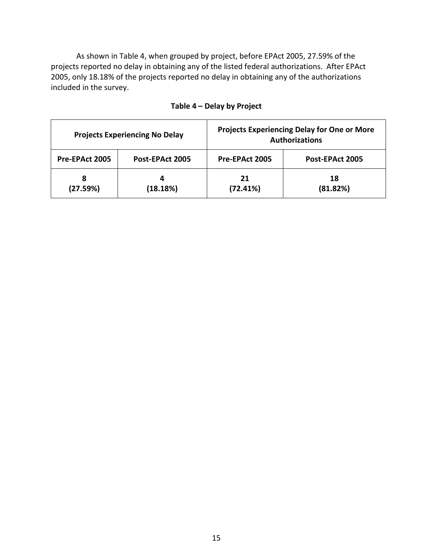As shown in Table 4, when grouped by project, before EPAct 2005, 27.59% of the projects reported no delay in obtaining any of the listed federal authorizations. After EPAct 2005, only 18.18% of the projects reported no delay in obtaining any of the authorizations included in the survey.

|                | <b>Projects Experiencing No Delay</b> | <b>Projects Experiencing Delay for One or More</b><br><b>Authorizations</b> |                 |  |  |
|----------------|---------------------------------------|-----------------------------------------------------------------------------|-----------------|--|--|
| Pre-EPAct 2005 | Post-EPAct 2005                       | Pre-EPAct 2005                                                              | Post-EPAct 2005 |  |  |
| 8<br>(27.59%)  | 4<br>(18.18%)                         | 21<br>(72.41%)                                                              | 18<br>(81.82%)  |  |  |

# **Table 4 – Delay by Project**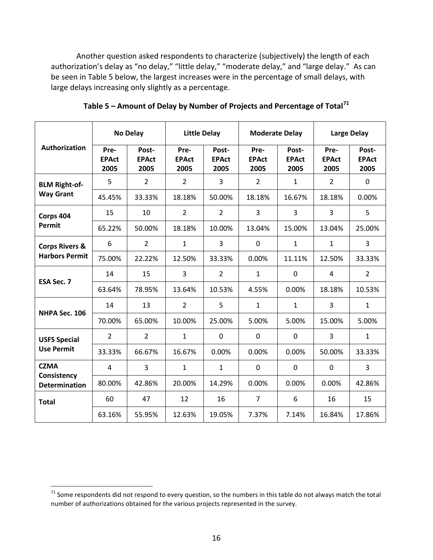Another question asked respondents to characterize (subjectively) the length of each authorization's delay as "no delay," "little delay," "moderate delay," and "large delay." As can be seen in Table 5 below, the largest increases were in the percentage of small delays, with large delays increasing only slightly as a percentage.

|                                     |                              | <b>No Delay</b>               | <b>Little Delay</b>          | <b>Moderate Delay</b>         |                              |                               | <b>Large Delay</b>           |                               |
|-------------------------------------|------------------------------|-------------------------------|------------------------------|-------------------------------|------------------------------|-------------------------------|------------------------------|-------------------------------|
| Authorization                       | Pre-<br><b>EPAct</b><br>2005 | Post-<br><b>EPAct</b><br>2005 | Pre-<br><b>EPAct</b><br>2005 | Post-<br><b>EPAct</b><br>2005 | Pre-<br><b>EPAct</b><br>2005 | Post-<br><b>EPAct</b><br>2005 | Pre-<br><b>EPAct</b><br>2005 | Post-<br><b>EPAct</b><br>2005 |
| <b>BLM Right-of-</b>                | 5                            | $\overline{2}$                | $\overline{2}$               | 3                             | $\overline{2}$               | $\mathbf{1}$                  | $\overline{2}$               | $\mathbf 0$                   |
| <b>Way Grant</b>                    | 45.45%                       | 33.33%                        | 18.18%                       | 50.00%                        | 18.18%                       | 16.67%                        | 18.18%                       | 0.00%                         |
| Corps 404                           | 15                           | 10                            | $\overline{2}$               | $\overline{2}$                | 3                            | 3                             | 3                            | 5                             |
| Permit                              | 65.22%                       | 50.00%                        | 18.18%                       | 10.00%                        | 13.04%                       | 15.00%                        | 13.04%                       | 25.00%                        |
| <b>Corps Rivers &amp;</b>           | 6                            | $\overline{2}$                | $\mathbf{1}$                 | 3                             | $\mathbf 0$                  | $\mathbf{1}$                  | $\mathbf{1}$                 | $\overline{3}$                |
| <b>Harbors Permit</b>               | 75.00%                       | 22.22%                        | 12.50%                       | 33.33%                        | 0.00%                        | 11.11%                        | 12.50%                       | 33.33%                        |
|                                     | 14                           | 15                            | $\overline{3}$               | $\overline{2}$                | $\mathbf{1}$                 | $\mathbf 0$                   | 4                            | $\overline{2}$                |
| <b>ESA Sec. 7</b>                   | 63.64%                       | 78.95%                        | 13.64%                       | 10.53%                        | 4.55%                        | 0.00%                         | 18.18%                       | 10.53%                        |
| NHPA Sec. 106                       | 14                           | 13                            | $\overline{2}$               | 5                             | $\mathbf{1}$                 | $\mathbf{1}$                  | 3                            | $\mathbf{1}$                  |
|                                     | 70.00%                       | 65.00%                        | 10.00%                       | 25.00%                        | 5.00%                        | 5.00%                         | 15.00%                       | 5.00%                         |
| <b>USFS Special</b>                 | $\overline{2}$               | $\overline{2}$                | $\mathbf{1}$                 | 0                             | $\mathbf 0$                  | $\mathbf 0$                   | 3                            | $\mathbf{1}$                  |
| <b>Use Permit</b>                   | 33.33%                       | 66.67%                        | 16.67%                       | 0.00%                         | 0.00%                        | 0.00%                         | 50.00%                       | 33.33%                        |
| <b>CZMA</b>                         | 4                            | 3                             | $\mathbf{1}$                 | $\mathbf{1}$                  | $\mathbf 0$                  | $\mathbf 0$                   | $\mathbf 0$                  | 3                             |
| Consistency<br><b>Determination</b> | 80.00%                       | 42.86%                        | 20.00%                       | 14.29%                        | 0.00%                        | 0.00%                         | 0.00%                        | 42.86%                        |
| <b>Total</b>                        | 60                           | 47                            | 12                           | 16                            | $\overline{7}$               | 6                             | 16                           | 15                            |
|                                     | 63.16%                       | 55.95%                        | 12.63%                       | 19.05%                        | 7.37%                        | 7.14%                         | 16.84%                       | 17.86%                        |

**Table 5 – Amount of Delay by Number of Projects and Percentage of Total<sup>71</sup>**

 $^{71}$  Some respondents did not respond to every question, so the numbers in this table do not always match the total number of authorizations obtained for the various projects represented in the survey.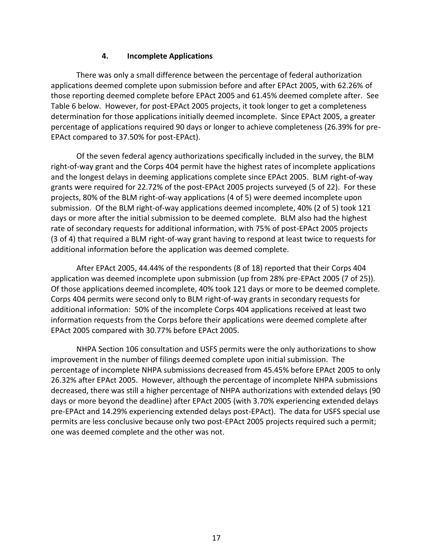#### **4. Incomplete Applications**

There was only a small difference between the percentage of federal authorization applications deemed complete upon submission before and after EPAct 2005, with 62.26% of those reporting deemed complete before EPAct 2005 and 61.45% deemed complete after. See Table 6 below. However, for post-EPAct 2005 projects, it took longer to get a completeness determination for those applications initially deemed incomplete. Since EPAct 2005, a greater percentage of applications required 90 days or longer to achieve completeness (26.39% for pre-EPAct compared to 37.50% for post-EPAct).

Of the seven federal agency authorizations specifically included in the survey, the BLM right-of-way grant and the Corps 404 permit have the highest rates of incomplete applications and the longest delays in deeming applications complete since EPAct 2005. BLM right-of-way grants were required for 22.72% of the post-EPAct 2005 projects surveyed (5 of 22). For these projects, 80% of the BLM right-of-way applications (4 of 5) were deemed incomplete upon submission. Of the BLM right-of-way applications deemed incomplete, 40% (2 of 5) took 121 days or more after the initial submission to be deemed complete. BLM also had the highest rate of secondary requests for additional information, with 75% of post-EPAct 2005 projects (3 of 4) that required a BLM right-of-way grant having to respond at least twice to requests for additional information before the application was deemed complete.

After EPAct 2005, 44.44% of the respondents (8 of 18) reported that their Corps 404 application was deemed incomplete upon submission (up from 28% pre-EPAct 2005 (7 of 25)). Of those applications deemed incomplete, 40% took 121 days or more to be deemed complete. Corps 404 permits were second only to BLM right-of-way grants in secondary requests for additional information: 50% of the incomplete Corps 404 applications received at least two information requests from the Corps before their applications were deemed complete after EPAct 2005 compared with 30.77% before EPAct 2005.

NHPA Section 106 consultation and USFS permits were the only authorizations to show improvement in the number of filings deemed complete upon initial submission. The percentage of incomplete NHPA submissions decreased from 45.45% before EPAct 2005 to only 26.32% after EPAct 2005. However, although the percentage of incomplete NHPA submissions decreased, there was still a higher percentage of NHPA authorizations with extended delays (90 days or more beyond the deadline) after EPAct 2005 (with 3.70% experiencing extended delays pre-EPAct and 14.29% experiencing extended delays post-EPAct). The data for USFS special use permits are less conclusive because only two post-EPAct 2005 projects required such a permit; one was deemed complete and the other was not.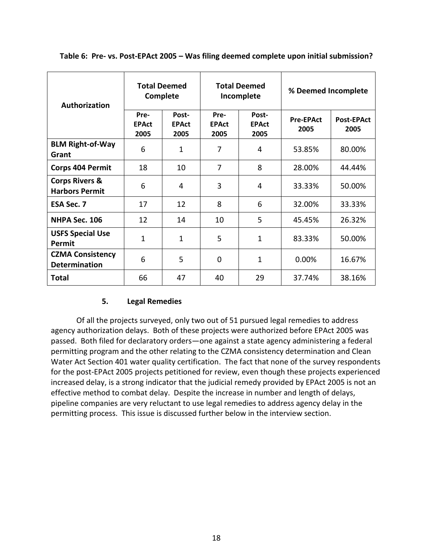| Authorization                                      | <b>Total Deemed</b><br>Complete |                               |                              | <b>Total Deemed</b><br>Incomplete | % Deemed Incomplete      |                           |  |
|----------------------------------------------------|---------------------------------|-------------------------------|------------------------------|-----------------------------------|--------------------------|---------------------------|--|
|                                                    | Pre-<br><b>EPAct</b><br>2005    | Post-<br><b>EPAct</b><br>2005 | Pre-<br><b>EPAct</b><br>2005 | Post-<br><b>EPAct</b><br>2005     | <b>Pre-EPAct</b><br>2005 | <b>Post-EPAct</b><br>2005 |  |
| <b>BLM Right-of-Way</b><br>Grant                   | 6                               | 1                             | 7                            | 4                                 | 53.85%                   | 80.00%                    |  |
| <b>Corps 404 Permit</b>                            | 18                              | 10                            | $\overline{7}$               | 8                                 | 28.00%                   | 44.44%                    |  |
| <b>Corps Rivers &amp;</b><br><b>Harbors Permit</b> | 6                               | 4                             | 3                            | 4                                 | 33.33%                   | 50.00%                    |  |
| <b>ESA Sec. 7</b>                                  | 17                              | 12                            | 8                            | 6                                 | 33.33%<br>32.00%         |                           |  |
| NHPA Sec. 106                                      | 12                              | 14                            | 10                           | 5                                 | 26.32%<br>45.45%         |                           |  |
| <b>USFS Special Use</b><br>Permit                  | $\mathbf{1}$                    | $\mathbf{1}$                  | 5                            | 1                                 | 83.33%                   | 50.00%                    |  |
| <b>CZMA Consistency</b><br><b>Determination</b>    | 6                               | 5                             | 0                            | 1                                 | 0.00%                    | 16.67%                    |  |
| Total                                              | 66                              | 47                            | 40                           | 29                                | 37.74%                   | 38.16%                    |  |

**Table 6: Pre- vs. Post-EPAct 2005 – Was filing deemed complete upon initial submission?**

#### **5. Legal Remedies**

Of all the projects surveyed, only two out of 51 pursued legal remedies to address agency authorization delays. Both of these projects were authorized before EPAct 2005 was passed. Both filed for declaratory orders—one against a state agency administering a federal permitting program and the other relating to the CZMA consistency determination and Clean Water Act Section 401 water quality certification. The fact that none of the survey respondents for the post-EPAct 2005 projects petitioned for review, even though these projects experienced increased delay, is a strong indicator that the judicial remedy provided by EPAct 2005 is not an effective method to combat delay. Despite the increase in number and length of delays, pipeline companies are very reluctant to use legal remedies to address agency delay in the permitting process. This issue is discussed further below in the interview section.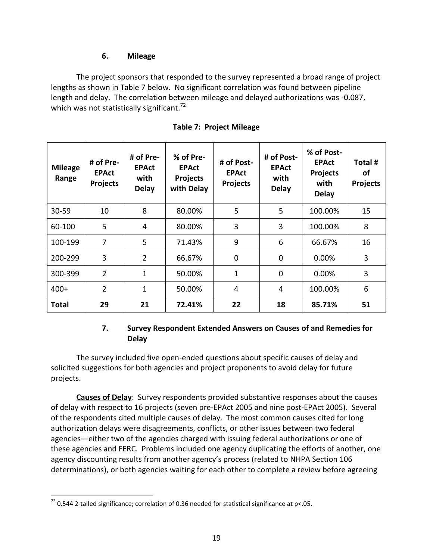#### **6. Mileage**

The project sponsors that responded to the survey represented a broad range of project lengths as shown in Table 7 below. No significant correlation was found between pipeline length and delay. The correlation between mileage and delayed authorizations was -0.087, which was not statistically significant.<sup>72</sup>

| <b>Mileage</b><br>Range | # of Pre-<br><b>EPAct</b><br><b>Projects</b> | # of Pre-<br><b>EPAct</b><br>with<br><b>Delay</b> | % of Pre-<br><b>EPAct</b><br><b>Projects</b><br>with Delay | # of Post-<br><b>EPAct</b><br><b>Projects</b> | # of Post-<br><b>EPAct</b><br>with<br><b>Delay</b> | % of Post-<br><b>EPAct</b><br><b>Projects</b><br>with<br><b>Delay</b> | Total #<br>οf<br><b>Projects</b> |
|-------------------------|----------------------------------------------|---------------------------------------------------|------------------------------------------------------------|-----------------------------------------------|----------------------------------------------------|-----------------------------------------------------------------------|----------------------------------|
| 30-59                   | 10                                           | 8                                                 | 80.00%                                                     | 5                                             | 5                                                  | 100.00%                                                               | 15                               |
| 60-100                  | 5                                            | 4                                                 | 80.00%                                                     | 3                                             | 3                                                  | 100.00%                                                               | 8                                |
| 100-199                 | 7                                            | 5                                                 | 71.43%                                                     | 9                                             | 6                                                  | 66.67%                                                                | 16                               |
| 200-299                 | 3                                            | $\overline{2}$                                    | 66.67%                                                     | $\mathbf 0$                                   | $\overline{0}$                                     | $0.00\%$                                                              | 3                                |
| 300-399                 | $\overline{2}$                               | $\overline{1}$                                    | 50.00%                                                     | $\mathbf{1}$                                  | 0                                                  | 0.00%                                                                 | 3                                |
| $400+$                  | $\overline{2}$                               | $\overline{1}$                                    | 50.00%                                                     | $\overline{4}$                                | 4                                                  | 100.00%                                                               | 6                                |
| <b>Total</b>            | 29                                           | 21                                                | 72.41%                                                     | 22                                            | 18                                                 | 85.71%                                                                | 51                               |

| <b>Table 7: Project Mileage</b> |  |
|---------------------------------|--|
|---------------------------------|--|

#### **7. Survey Respondent Extended Answers on Causes of and Remedies for Delay**

The survey included five open-ended questions about specific causes of delay and solicited suggestions for both agencies and project proponents to avoid delay for future projects.

**Causes of Delay**: Survey respondents provided substantive responses about the causes of delay with respect to 16 projects (seven pre-EPAct 2005 and nine post-EPAct 2005). Several of the respondents cited multiple causes of delay. The most common causes cited for long authorization delays were disagreements, conflicts, or other issues between two federal agencies—either two of the agencies charged with issuing federal authorizations or one of these agencies and FERC. Problems included one agency duplicating the efforts of another, one agency discounting results from another agency's process (related to NHPA Section 106 determinations), or both agencies waiting for each other to complete a review before agreeing

 $72$  0.544 2-tailed significance; correlation of 0.36 needed for statistical significance at p<.05.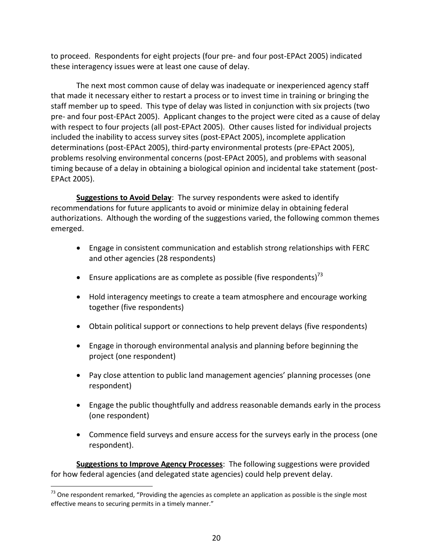to proceed. Respondents for eight projects (four pre- and four post-EPAct 2005) indicated these interagency issues were at least one cause of delay.

The next most common cause of delay was inadequate or inexperienced agency staff that made it necessary either to restart a process or to invest time in training or bringing the staff member up to speed. This type of delay was listed in conjunction with six projects (two pre- and four post-EPAct 2005). Applicant changes to the project were cited as a cause of delay with respect to four projects (all post-EPAct 2005). Other causes listed for individual projects included the inability to access survey sites (post-EPAct 2005), incomplete application determinations (post-EPAct 2005), third-party environmental protests (pre-EPAct 2005), problems resolving environmental concerns (post-EPAct 2005), and problems with seasonal timing because of a delay in obtaining a biological opinion and incidental take statement (post-EPAct 2005).

**Suggestions to Avoid Delay**: The survey respondents were asked to identify recommendations for future applicants to avoid or minimize delay in obtaining federal authorizations. Although the wording of the suggestions varied, the following common themes emerged.

- Engage in consistent communication and establish strong relationships with FERC and other agencies (28 respondents)
- **Ensure applications are as complete as possible (five respondents)**<sup>73</sup>
- Hold interagency meetings to create a team atmosphere and encourage working together (five respondents)
- Obtain political support or connections to help prevent delays (five respondents)
- Engage in thorough environmental analysis and planning before beginning the project (one respondent)
- Pay close attention to public land management agencies' planning processes (one respondent)
- Engage the public thoughtfully and address reasonable demands early in the process (one respondent)
- Commence field surveys and ensure access for the surveys early in the process (one respondent).

**Suggestions to Improve Agency Processes**: The following suggestions were provided for how federal agencies (and delegated state agencies) could help prevent delay.

 $73$  One respondent remarked, "Providing the agencies as complete an application as possible is the single most effective means to securing permits in a timely manner."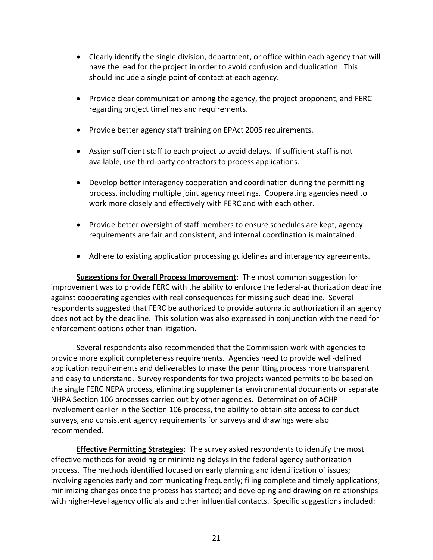- Clearly identify the single division, department, or office within each agency that will have the lead for the project in order to avoid confusion and duplication. This should include a single point of contact at each agency.
- Provide clear communication among the agency, the project proponent, and FERC regarding project timelines and requirements.
- Provide better agency staff training on EPAct 2005 requirements.
- Assign sufficient staff to each project to avoid delays. If sufficient staff is not available, use third-party contractors to process applications.
- Develop better interagency cooperation and coordination during the permitting process, including multiple joint agency meetings. Cooperating agencies need to work more closely and effectively with FERC and with each other.
- Provide better oversight of staff members to ensure schedules are kept, agency requirements are fair and consistent, and internal coordination is maintained.
- Adhere to existing application processing guidelines and interagency agreements.

**Suggestions for Overall Process Improvement**: The most common suggestion for improvement was to provide FERC with the ability to enforce the federal-authorization deadline against cooperating agencies with real consequences for missing such deadline. Several respondents suggested that FERC be authorized to provide automatic authorization if an agency does not act by the deadline. This solution was also expressed in conjunction with the need for enforcement options other than litigation.

Several respondents also recommended that the Commission work with agencies to provide more explicit completeness requirements. Agencies need to provide well-defined application requirements and deliverables to make the permitting process more transparent and easy to understand. Survey respondents for two projects wanted permits to be based on the single FERC NEPA process, eliminating supplemental environmental documents or separate NHPA Section 106 processes carried out by other agencies. Determination of ACHP involvement earlier in the Section 106 process, the ability to obtain site access to conduct surveys, and consistent agency requirements for surveys and drawings were also recommended.

**Effective Permitting Strategies:** The survey asked respondents to identify the most effective methods for avoiding or minimizing delays in the federal agency authorization process. The methods identified focused on early planning and identification of issues; involving agencies early and communicating frequently; filing complete and timely applications; minimizing changes once the process has started; and developing and drawing on relationships with higher-level agency officials and other influential contacts. Specific suggestions included: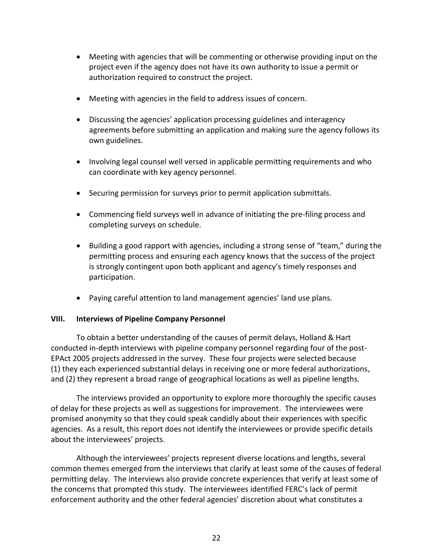- Meeting with agencies that will be commenting or otherwise providing input on the project even if the agency does not have its own authority to issue a permit or authorization required to construct the project.
- Meeting with agencies in the field to address issues of concern.
- Discussing the agencies' application processing guidelines and interagency agreements before submitting an application and making sure the agency follows its own guidelines.
- Involving legal counsel well versed in applicable permitting requirements and who can coordinate with key agency personnel.
- Securing permission for surveys prior to permit application submittals.
- Commencing field surveys well in advance of initiating the pre-filing process and completing surveys on schedule.
- Building a good rapport with agencies, including a strong sense of "team," during the permitting process and ensuring each agency knows that the success of the project is strongly contingent upon both applicant and agency's timely responses and participation.
- Paying careful attention to land management agencies' land use plans.

#### **VIII. Interviews of Pipeline Company Personnel**

To obtain a better understanding of the causes of permit delays, Holland & Hart conducted in-depth interviews with pipeline company personnel regarding four of the post-EPAct 2005 projects addressed in the survey. These four projects were selected because (1) they each experienced substantial delays in receiving one or more federal authorizations, and (2) they represent a broad range of geographical locations as well as pipeline lengths.

The interviews provided an opportunity to explore more thoroughly the specific causes of delay for these projects as well as suggestions for improvement. The interviewees were promised anonymity so that they could speak candidly about their experiences with specific agencies. As a result, this report does not identify the interviewees or provide specific details about the interviewees' projects.

Although the interviewees' projects represent diverse locations and lengths, several common themes emerged from the interviews that clarify at least some of the causes of federal permitting delay. The interviews also provide concrete experiences that verify at least some of the concerns that prompted this study. The interviewees identified FERC's lack of permit enforcement authority and the other federal agencies' discretion about what constitutes a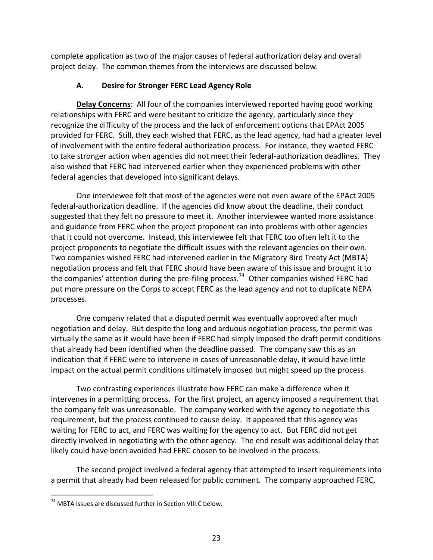complete application as two of the major causes of federal authorization delay and overall project delay. The common themes from the interviews are discussed below.

# **A. Desire for Stronger FERC Lead Agency Role**

**Delay Concerns**: All four of the companies interviewed reported having good working relationships with FERC and were hesitant to criticize the agency, particularly since they recognize the difficulty of the process and the lack of enforcement options that EPAct 2005 provided for FERC. Still, they each wished that FERC, as the lead agency, had had a greater level of involvement with the entire federal authorization process. For instance, they wanted FERC to take stronger action when agencies did not meet their federal-authorization deadlines. They also wished that FERC had intervened earlier when they experienced problems with other federal agencies that developed into significant delays.

One interviewee felt that most of the agencies were not even aware of the EPAct 2005 federal-authorization deadline. If the agencies did know about the deadline, their conduct suggested that they felt no pressure to meet it. Another interviewee wanted more assistance and guidance from FERC when the project proponent ran into problems with other agencies that it could not overcome. Instead, this interviewee felt that FERC too often left it to the project proponents to negotiate the difficult issues with the relevant agencies on their own. Two companies wished FERC had intervened earlier in the Migratory Bird Treaty Act (MBTA) negotiation process and felt that FERC should have been aware of this issue and brought it to the companies' attention during the pre-filing process.<sup>74</sup> Other companies wished FERC had put more pressure on the Corps to accept FERC as the lead agency and not to duplicate NEPA processes.

One company related that a disputed permit was eventually approved after much negotiation and delay. But despite the long and arduous negotiation process, the permit was virtually the same as it would have been if FERC had simply imposed the draft permit conditions that already had been identified when the deadline passed. The company saw this as an indication that if FERC were to intervene in cases of unreasonable delay, it would have little impact on the actual permit conditions ultimately imposed but might speed up the process.

Two contrasting experiences illustrate how FERC can make a difference when it intervenes in a permitting process. For the first project, an agency imposed a requirement that the company felt was unreasonable. The company worked with the agency to negotiate this requirement, but the process continued to cause delay. It appeared that this agency was waiting for FERC to act, and FERC was waiting for the agency to act. But FERC did not get directly involved in negotiating with the other agency. The end result was additional delay that likely could have been avoided had FERC chosen to be involved in the process.

The second project involved a federal agency that attempted to insert requirements into a permit that already had been released for public comment. The company approached FERC,

<sup>74</sup> MBTA issues are discussed further in Section VIII.C below.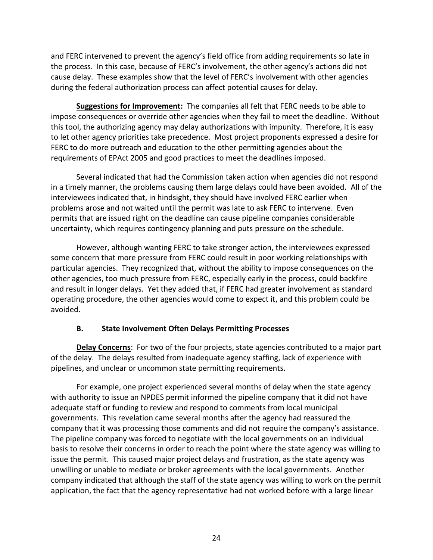and FERC intervened to prevent the agency's field office from adding requirements so late in the process. In this case, because of FERC's involvement, the other agency's actions did not cause delay. These examples show that the level of FERC's involvement with other agencies during the federal authorization process can affect potential causes for delay.

**Suggestions for Improvement:** The companies all felt that FERC needs to be able to impose consequences or override other agencies when they fail to meet the deadline. Without this tool, the authorizing agency may delay authorizations with impunity. Therefore, it is easy to let other agency priorities take precedence. Most project proponents expressed a desire for FERC to do more outreach and education to the other permitting agencies about the requirements of EPAct 2005 and good practices to meet the deadlines imposed.

Several indicated that had the Commission taken action when agencies did not respond in a timely manner, the problems causing them large delays could have been avoided. All of the interviewees indicated that, in hindsight, they should have involved FERC earlier when problems arose and not waited until the permit was late to ask FERC to intervene. Even permits that are issued right on the deadline can cause pipeline companies considerable uncertainty, which requires contingency planning and puts pressure on the schedule.

However, although wanting FERC to take stronger action, the interviewees expressed some concern that more pressure from FERC could result in poor working relationships with particular agencies. They recognized that, without the ability to impose consequences on the other agencies, too much pressure from FERC, especially early in the process, could backfire and result in longer delays. Yet they added that, if FERC had greater involvement as standard operating procedure, the other agencies would come to expect it, and this problem could be avoided.

#### **B. State Involvement Often Delays Permitting Processes**

**Delay Concerns**: For two of the four projects, state agencies contributed to a major part of the delay. The delays resulted from inadequate agency staffing, lack of experience with pipelines, and unclear or uncommon state permitting requirements.

For example, one project experienced several months of delay when the state agency with authority to issue an NPDES permit informed the pipeline company that it did not have adequate staff or funding to review and respond to comments from local municipal governments. This revelation came several months after the agency had reassured the company that it was processing those comments and did not require the company's assistance. The pipeline company was forced to negotiate with the local governments on an individual basis to resolve their concerns in order to reach the point where the state agency was willing to issue the permit. This caused major project delays and frustration, as the state agency was unwilling or unable to mediate or broker agreements with the local governments. Another company indicated that although the staff of the state agency was willing to work on the permit application, the fact that the agency representative had not worked before with a large linear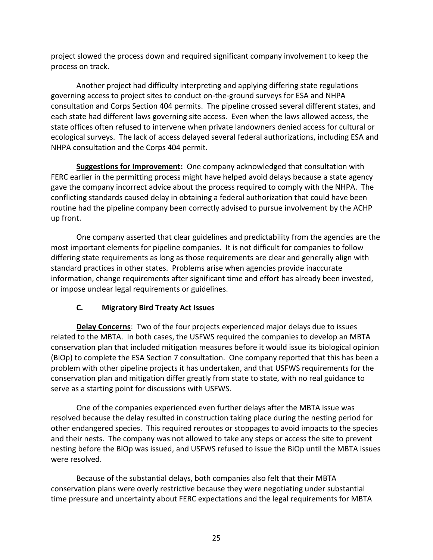project slowed the process down and required significant company involvement to keep the process on track.

Another project had difficulty interpreting and applying differing state regulations governing access to project sites to conduct on-the-ground surveys for ESA and NHPA consultation and Corps Section 404 permits. The pipeline crossed several different states, and each state had different laws governing site access. Even when the laws allowed access, the state offices often refused to intervene when private landowners denied access for cultural or ecological surveys. The lack of access delayed several federal authorizations, including ESA and NHPA consultation and the Corps 404 permit.

**Suggestions for Improvement:** One company acknowledged that consultation with FERC earlier in the permitting process might have helped avoid delays because a state agency gave the company incorrect advice about the process required to comply with the NHPA. The conflicting standards caused delay in obtaining a federal authorization that could have been routine had the pipeline company been correctly advised to pursue involvement by the ACHP up front.

One company asserted that clear guidelines and predictability from the agencies are the most important elements for pipeline companies. It is not difficult for companies to follow differing state requirements as long as those requirements are clear and generally align with standard practices in other states. Problems arise when agencies provide inaccurate information, change requirements after significant time and effort has already been invested, or impose unclear legal requirements or guidelines.

# **C. Migratory Bird Treaty Act Issues**

**Delay Concerns**: Two of the four projects experienced major delays due to issues related to the MBTA. In both cases, the USFWS required the companies to develop an MBTA conservation plan that included mitigation measures before it would issue its biological opinion (BiOp) to complete the ESA Section 7 consultation. One company reported that this has been a problem with other pipeline projects it has undertaken, and that USFWS requirements for the conservation plan and mitigation differ greatly from state to state, with no real guidance to serve as a starting point for discussions with USFWS.

One of the companies experienced even further delays after the MBTA issue was resolved because the delay resulted in construction taking place during the nesting period for other endangered species. This required reroutes or stoppages to avoid impacts to the species and their nests. The company was not allowed to take any steps or access the site to prevent nesting before the BiOp was issued, and USFWS refused to issue the BiOp until the MBTA issues were resolved.

Because of the substantial delays, both companies also felt that their MBTA conservation plans were overly restrictive because they were negotiating under substantial time pressure and uncertainty about FERC expectations and the legal requirements for MBTA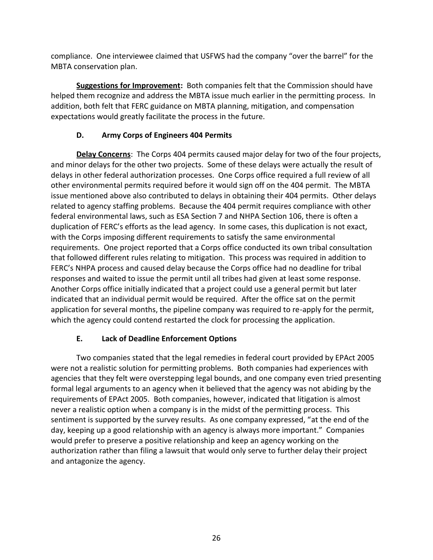compliance. One interviewee claimed that USFWS had the company "over the barrel" for the MBTA conservation plan.

**Suggestions for Improvement:** Both companies felt that the Commission should have helped them recognize and address the MBTA issue much earlier in the permitting process. In addition, both felt that FERC guidance on MBTA planning, mitigation, and compensation expectations would greatly facilitate the process in the future.

# **D. Army Corps of Engineers 404 Permits**

**Delay Concerns**: The Corps 404 permits caused major delay for two of the four projects, and minor delays for the other two projects. Some of these delays were actually the result of delays in other federal authorization processes. One Corps office required a full review of all other environmental permits required before it would sign off on the 404 permit. The MBTA issue mentioned above also contributed to delays in obtaining their 404 permits. Other delays related to agency staffing problems. Because the 404 permit requires compliance with other federal environmental laws, such as ESA Section 7 and NHPA Section 106, there is often a duplication of FERC's efforts as the lead agency. In some cases, this duplication is not exact, with the Corps imposing different requirements to satisfy the same environmental requirements. One project reported that a Corps office conducted its own tribal consultation that followed different rules relating to mitigation. This process was required in addition to FERC's NHPA process and caused delay because the Corps office had no deadline for tribal responses and waited to issue the permit until all tribes had given at least some response. Another Corps office initially indicated that a project could use a general permit but later indicated that an individual permit would be required. After the office sat on the permit application for several months, the pipeline company was required to re-apply for the permit, which the agency could contend restarted the clock for processing the application.

# **E. Lack of Deadline Enforcement Options**

Two companies stated that the legal remedies in federal court provided by EPAct 2005 were not a realistic solution for permitting problems. Both companies had experiences with agencies that they felt were overstepping legal bounds, and one company even tried presenting formal legal arguments to an agency when it believed that the agency was not abiding by the requirements of EPAct 2005. Both companies, however, indicated that litigation is almost never a realistic option when a company is in the midst of the permitting process. This sentiment is supported by the survey results. As one company expressed, "at the end of the day, keeping up a good relationship with an agency is always more important." Companies would prefer to preserve a positive relationship and keep an agency working on the authorization rather than filing a lawsuit that would only serve to further delay their project and antagonize the agency.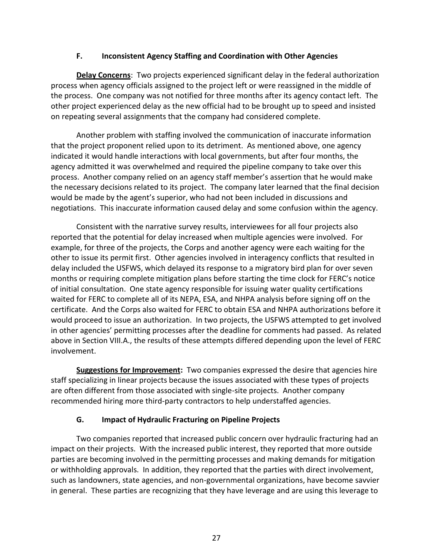#### **F. Inconsistent Agency Staffing and Coordination with Other Agencies**

**Delay Concerns**: Two projects experienced significant delay in the federal authorization process when agency officials assigned to the project left or were reassigned in the middle of the process. One company was not notified for three months after its agency contact left. The other project experienced delay as the new official had to be brought up to speed and insisted on repeating several assignments that the company had considered complete.

Another problem with staffing involved the communication of inaccurate information that the project proponent relied upon to its detriment. As mentioned above, one agency indicated it would handle interactions with local governments, but after four months, the agency admitted it was overwhelmed and required the pipeline company to take over this process. Another company relied on an agency staff member's assertion that he would make the necessary decisions related to its project. The company later learned that the final decision would be made by the agent's superior, who had not been included in discussions and negotiations. This inaccurate information caused delay and some confusion within the agency.

Consistent with the narrative survey results, interviewees for all four projects also reported that the potential for delay increased when multiple agencies were involved. For example, for three of the projects, the Corps and another agency were each waiting for the other to issue its permit first. Other agencies involved in interagency conflicts that resulted in delay included the USFWS, which delayed its response to a migratory bird plan for over seven months or requiring complete mitigation plans before starting the time clock for FERC's notice of initial consultation. One state agency responsible for issuing water quality certifications waited for FERC to complete all of its NEPA, ESA, and NHPA analysis before signing off on the certificate. And the Corps also waited for FERC to obtain ESA and NHPA authorizations before it would proceed to issue an authorization. In two projects, the USFWS attempted to get involved in other agencies' permitting processes after the deadline for comments had passed. As related above in Section VIII.A., the results of these attempts differed depending upon the level of FERC involvement.

**Suggestions for Improvement:** Two companies expressed the desire that agencies hire staff specializing in linear projects because the issues associated with these types of projects are often different from those associated with single-site projects. Another company recommended hiring more third-party contractors to help understaffed agencies.

#### **G. Impact of Hydraulic Fracturing on Pipeline Projects**

Two companies reported that increased public concern over hydraulic fracturing had an impact on their projects. With the increased public interest, they reported that more outside parties are becoming involved in the permitting processes and making demands for mitigation or withholding approvals. In addition, they reported that the parties with direct involvement, such as landowners, state agencies, and non-governmental organizations, have become savvier in general. These parties are recognizing that they have leverage and are using this leverage to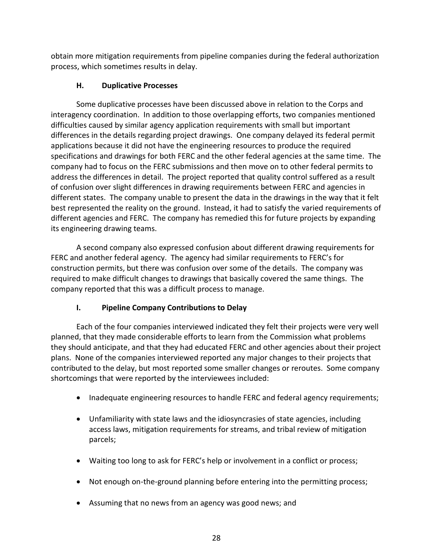obtain more mitigation requirements from pipeline companies during the federal authorization process, which sometimes results in delay.

# **H. Duplicative Processes**

Some duplicative processes have been discussed above in relation to the Corps and interagency coordination. In addition to those overlapping efforts, two companies mentioned difficulties caused by similar agency application requirements with small but important differences in the details regarding project drawings. One company delayed its federal permit applications because it did not have the engineering resources to produce the required specifications and drawings for both FERC and the other federal agencies at the same time. The company had to focus on the FERC submissions and then move on to other federal permits to address the differences in detail. The project reported that quality control suffered as a result of confusion over slight differences in drawing requirements between FERC and agencies in different states. The company unable to present the data in the drawings in the way that it felt best represented the reality on the ground. Instead, it had to satisfy the varied requirements of different agencies and FERC. The company has remedied this for future projects by expanding its engineering drawing teams.

A second company also expressed confusion about different drawing requirements for FERC and another federal agency. The agency had similar requirements to FERC's for construction permits, but there was confusion over some of the details. The company was required to make difficult changes to drawings that basically covered the same things. The company reported that this was a difficult process to manage.

# **I. Pipeline Company Contributions to Delay**

Each of the four companies interviewed indicated they felt their projects were very well planned, that they made considerable efforts to learn from the Commission what problems they should anticipate, and that they had educated FERC and other agencies about their project plans. None of the companies interviewed reported any major changes to their projects that contributed to the delay, but most reported some smaller changes or reroutes. Some company shortcomings that were reported by the interviewees included:

- Inadequate engineering resources to handle FERC and federal agency requirements;
- Unfamiliarity with state laws and the idiosyncrasies of state agencies, including access laws, mitigation requirements for streams, and tribal review of mitigation parcels;
- Waiting too long to ask for FERC's help or involvement in a conflict or process;
- Not enough on-the-ground planning before entering into the permitting process;
- Assuming that no news from an agency was good news; and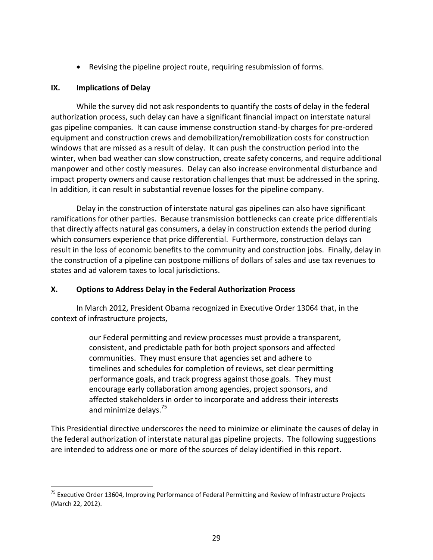Revising the pipeline project route, requiring resubmission of forms.

#### **IX. Implications of Delay**

 $\overline{a}$ 

While the survey did not ask respondents to quantify the costs of delay in the federal authorization process, such delay can have a significant financial impact on interstate natural gas pipeline companies. It can cause immense construction stand-by charges for pre-ordered equipment and construction crews and demobilization/remobilization costs for construction windows that are missed as a result of delay. It can push the construction period into the winter, when bad weather can slow construction, create safety concerns, and require additional manpower and other costly measures. Delay can also increase environmental disturbance and impact property owners and cause restoration challenges that must be addressed in the spring. In addition, it can result in substantial revenue losses for the pipeline company.

Delay in the construction of interstate natural gas pipelines can also have significant ramifications for other parties. Because transmission bottlenecks can create price differentials that directly affects natural gas consumers, a delay in construction extends the period during which consumers experience that price differential. Furthermore, construction delays can result in the loss of economic benefits to the community and construction jobs. Finally, delay in the construction of a pipeline can postpone millions of dollars of sales and use tax revenues to states and ad valorem taxes to local jurisdictions.

# **X. Options to Address Delay in the Federal Authorization Process**

In March 2012, President Obama recognized in Executive Order 13064 that, in the context of infrastructure projects,

> our Federal permitting and review processes must provide a transparent, consistent, and predictable path for both project sponsors and affected communities. They must ensure that agencies set and adhere to timelines and schedules for completion of reviews, set clear permitting performance goals, and track progress against those goals. They must encourage early collaboration among agencies, project sponsors, and affected stakeholders in order to incorporate and address their interests and minimize delays.<sup>75</sup>

This Presidential directive underscores the need to minimize or eliminate the causes of delay in the federal authorization of interstate natural gas pipeline projects. The following suggestions are intended to address one or more of the sources of delay identified in this report.

<sup>&</sup>lt;sup>75</sup> Executive Order 13604, Improving Performance of Federal Permitting and Review of Infrastructure Projects (March 22, 2012).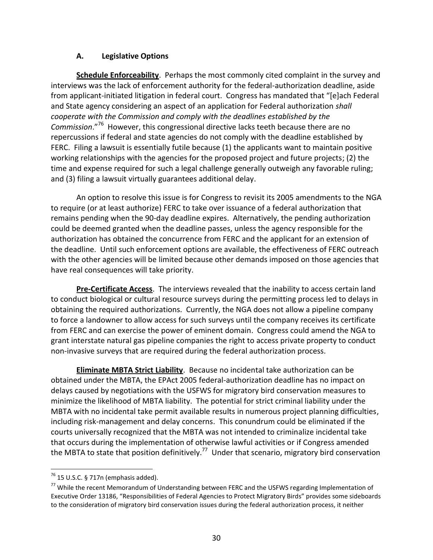#### **A. Legislative Options**

**Schedule Enforceability**. Perhaps the most commonly cited complaint in the survey and interviews was the lack of enforcement authority for the federal-authorization deadline, aside from applicant-initiated litigation in federal court. Congress has mandated that "[e]ach Federal and State agency considering an aspect of an application for Federal authorization *shall cooperate with the Commission and comply with the deadlines established by the Commission*."<sup>76</sup> However, this congressional directive lacks teeth because there are no repercussions if federal and state agencies do not comply with the deadline established by FERC. Filing a lawsuit is essentially futile because (1) the applicants want to maintain positive working relationships with the agencies for the proposed project and future projects; (2) the time and expense required for such a legal challenge generally outweigh any favorable ruling; and (3) filing a lawsuit virtually guarantees additional delay.

An option to resolve this issue is for Congress to revisit its 2005 amendments to the NGA to require (or at least authorize) FERC to take over issuance of a federal authorization that remains pending when the 90-day deadline expires. Alternatively, the pending authorization could be deemed granted when the deadline passes, unless the agency responsible for the authorization has obtained the concurrence from FERC and the applicant for an extension of the deadline. Until such enforcement options are available, the effectiveness of FERC outreach with the other agencies will be limited because other demands imposed on those agencies that have real consequences will take priority.

**Pre-Certificate Access**. The interviews revealed that the inability to access certain land to conduct biological or cultural resource surveys during the permitting process led to delays in obtaining the required authorizations. Currently, the NGA does not allow a pipeline company to force a landowner to allow access for such surveys until the company receives its certificate from FERC and can exercise the power of eminent domain. Congress could amend the NGA to grant interstate natural gas pipeline companies the right to access private property to conduct non-invasive surveys that are required during the federal authorization process.

**Eliminate MBTA Strict Liability**. Because no incidental take authorization can be obtained under the MBTA, the EPAct 2005 federal-authorization deadline has no impact on delays caused by negotiations with the USFWS for migratory bird conservation measures to minimize the likelihood of MBTA liability. The potential for strict criminal liability under the MBTA with no incidental take permit available results in numerous project planning difficulties, including risk-management and delay concerns. This conundrum could be eliminated if the courts universally recognized that the MBTA was not intended to criminalize incidental take that occurs during the implementation of otherwise lawful activities or if Congress amended the MBTA to state that position definitively.<sup>77</sup> Under that scenario, migratory bird conservation

 $76$  15 U.S.C. § 717n (emphasis added).

<sup>&</sup>lt;sup>77</sup> While the recent Memorandum of Understanding between FERC and the USFWS regarding Implementation of Executive Order 13186, "Responsibilities of Federal Agencies to Protect Migratory Birds" provides some sideboards to the consideration of migratory bird conservation issues during the federal authorization process, it neither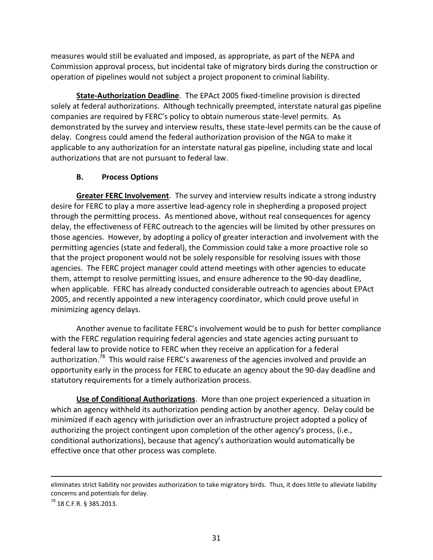measures would still be evaluated and imposed, as appropriate, as part of the NEPA and Commission approval process, but incidental take of migratory birds during the construction or operation of pipelines would not subject a project proponent to criminal liability.

**State-Authorization Deadline**. The EPAct 2005 fixed-timeline provision is directed solely at federal authorizations. Although technically preempted, interstate natural gas pipeline companies are required by FERC's policy to obtain numerous state-level permits. As demonstrated by the survey and interview results, these state-level permits can be the cause of delay. Congress could amend the federal authorization provision of the NGA to make it applicable to any authorization for an interstate natural gas pipeline, including state and local authorizations that are not pursuant to federal law.

# **B. Process Options**

**Greater FERC Involvement**. The survey and interview results indicate a strong industry desire for FERC to play a more assertive lead-agency role in shepherding a proposed project through the permitting process. As mentioned above, without real consequences for agency delay, the effectiveness of FERC outreach to the agencies will be limited by other pressures on those agencies. However, by adopting a policy of greater interaction and involvement with the permitting agencies (state and federal), the Commission could take a more proactive role so that the project proponent would not be solely responsible for resolving issues with those agencies. The FERC project manager could attend meetings with other agencies to educate them, attempt to resolve permitting issues, and ensure adherence to the 90-day deadline, when applicable. FERC has already conducted considerable outreach to agencies about EPAct 2005, and recently appointed a new interagency coordinator, which could prove useful in minimizing agency delays.

Another avenue to facilitate FERC's involvement would be to push for better compliance with the FERC regulation requiring federal agencies and state agencies acting pursuant to federal law to provide notice to FERC when they receive an application for a federal authorization.<sup>78</sup> This would raise FERC's awareness of the agencies involved and provide an opportunity early in the process for FERC to educate an agency about the 90-day deadline and statutory requirements for a timely authorization process.

**Use of Conditional Authorizations**. More than one project experienced a situation in which an agency withheld its authorization pending action by another agency. Delay could be minimized if each agency with jurisdiction over an infrastructure project adopted a policy of authorizing the project contingent upon completion of the other agency's process, (i.e., conditional authorizations), because that agency's authorization would automatically be effective once that other process was complete.

eliminates strict liability nor provides authorization to take migratory birds. Thus, it does little to alleviate liability concerns and potentials for delay.

<sup>78</sup> 18 C.F.R. § 385.2013.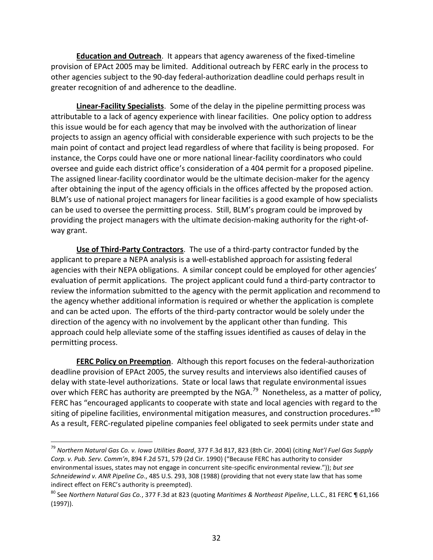**Education and Outreach**. It appears that agency awareness of the fixed-timeline provision of EPAct 2005 may be limited. Additional outreach by FERC early in the process to other agencies subject to the 90-day federal-authorization deadline could perhaps result in greater recognition of and adherence to the deadline.

**Linear-Facility Specialists**. Some of the delay in the pipeline permitting process was attributable to a lack of agency experience with linear facilities. One policy option to address this issue would be for each agency that may be involved with the authorization of linear projects to assign an agency official with considerable experience with such projects to be the main point of contact and project lead regardless of where that facility is being proposed. For instance, the Corps could have one or more national linear-facility coordinators who could oversee and guide each district office's consideration of a 404 permit for a proposed pipeline. The assigned linear-facility coordinator would be the ultimate decision-maker for the agency after obtaining the input of the agency officials in the offices affected by the proposed action. BLM's use of national project managers for linear facilities is a good example of how specialists can be used to oversee the permitting process. Still, BLM's program could be improved by providing the project managers with the ultimate decision-making authority for the right-ofway grant.

**Use of Third-Party Contractors**. The use of a third-party contractor funded by the applicant to prepare a NEPA analysis is a well-established approach for assisting federal agencies with their NEPA obligations. A similar concept could be employed for other agencies' evaluation of permit applications. The project applicant could fund a third-party contractor to review the information submitted to the agency with the permit application and recommend to the agency whether additional information is required or whether the application is complete and can be acted upon. The efforts of the third-party contractor would be solely under the direction of the agency with no involvement by the applicant other than funding. This approach could help alleviate some of the staffing issues identified as causes of delay in the permitting process.

**FERC Policy on Preemption**. Although this report focuses on the federal-authorization deadline provision of EPAct 2005, the survey results and interviews also identified causes of delay with state-level authorizations. State or local laws that regulate environmental issues over which FERC has authority are preempted by the NGA.<sup>79</sup> Nonetheless, as a matter of policy, FERC has "encouraged applicants to cooperate with state and local agencies with regard to the siting of pipeline facilities, environmental mitigation measures, and construction procedures." $^{80}$ As a result, FERC-regulated pipeline companies feel obligated to seek permits under state and

<sup>79</sup> *Northern Natural Gas Co. v. Iowa Utilities Board*, 377 F.3d 817, 823 (8th Cir. 2004) (citing *Nat'l Fuel Gas Supply Corp. v. Pub. Serv. Comm'n*, 894 F.2d 571, 579 (2d Cir. 1990) ("Because FERC has authority to consider environmental issues, states may not engage in concurrent site-specific environmental review.")); *but see Schneidewind v. ANR Pipeline Co*., 485 U.S. 293, 308 (1988) (providing that not every state law that has some indirect effect on FERC's authority is preempted).

<sup>80</sup> See *Northern Natural Gas Co.*, 377 F.3d at 823 (quoting *Maritimes & Northeast Pipeline*, L.L.C., 81 FERC ¶ 61,166 (1997)).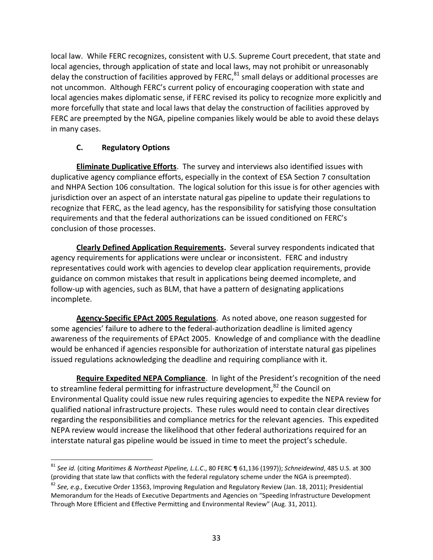local law. While FERC recognizes, consistent with U.S. Supreme Court precedent, that state and local agencies, through application of state and local laws, may not prohibit or unreasonably delay the construction of facilities approved by FERC,<sup>81</sup> small delays or additional processes are not uncommon. Although FERC's current policy of encouraging cooperation with state and local agencies makes diplomatic sense, if FERC revised its policy to recognize more explicitly and more forcefully that state and local laws that delay the construction of facilities approved by FERC are preempted by the NGA, pipeline companies likely would be able to avoid these delays in many cases.

# **C. Regulatory Options**

**Eliminate Duplicative Efforts**. The survey and interviews also identified issues with duplicative agency compliance efforts, especially in the context of ESA Section 7 consultation and NHPA Section 106 consultation. The logical solution for this issue is for other agencies with jurisdiction over an aspect of an interstate natural gas pipeline to update their regulations to recognize that FERC, as the lead agency, has the responsibility for satisfying those consultation requirements and that the federal authorizations can be issued conditioned on FERC's conclusion of those processes.

**Clearly Defined Application Requirements.** Several survey respondents indicated that agency requirements for applications were unclear or inconsistent. FERC and industry representatives could work with agencies to develop clear application requirements, provide guidance on common mistakes that result in applications being deemed incomplete, and follow-up with agencies, such as BLM, that have a pattern of designating applications incomplete.

**Agency-Specific EPAct 2005 Regulations**. As noted above, one reason suggested for some agencies' failure to adhere to the federal-authorization deadline is limited agency awareness of the requirements of EPAct 2005. Knowledge of and compliance with the deadline would be enhanced if agencies responsible for authorization of interstate natural gas pipelines issued regulations acknowledging the deadline and requiring compliance with it.

**Require Expedited NEPA Compliance**. In light of the President's recognition of the need to streamline federal permitting for infrastructure development, $82$  the Council on Environmental Quality could issue new rules requiring agencies to expedite the NEPA review for qualified national infrastructure projects. These rules would need to contain clear directives regarding the responsibilities and compliance metrics for the relevant agencies. This expedited NEPA review would increase the likelihood that other federal authorizations required for an interstate natural gas pipeline would be issued in time to meet the project's schedule.

 $\overline{a}$ <sup>81</sup> *See id.* (citing *Maritimes & Northeast Pipeline, L.L.C*., 80 FERC ¶ 61,136 (1997)); *Schneidewind*, 485 U.S. at 300 (providing that state law that conflicts with the federal regulatory scheme under the NGA is preempted).

<sup>82</sup> *See, e.g.,* Executive Order 13563, Improving Regulation and Regulatory Review (Jan. 18, 2011); Presidential Memorandum for the Heads of Executive Departments and Agencies on "Speeding Infrastructure Development Through More Efficient and Effective Permitting and Environmental Review" (Aug. 31, 2011).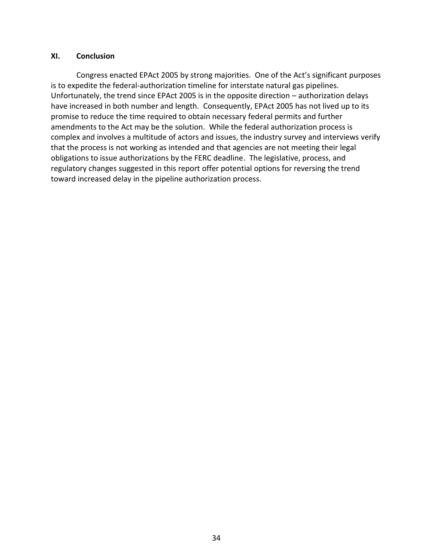#### **XI. Conclusion**

Congress enacted EPAct 2005 by strong majorities. One of the Act's significant purposes is to expedite the federal-authorization timeline for interstate natural gas pipelines. Unfortunately, the trend since EPAct 2005 is in the opposite direction – authorization delays have increased in both number and length. Consequently, EPAct 2005 has not lived up to its promise to reduce the time required to obtain necessary federal permits and further amendments to the Act may be the solution. While the federal authorization process is complex and involves a multitude of actors and issues, the industry survey and interviews verify that the process is not working as intended and that agencies are not meeting their legal obligations to issue authorizations by the FERC deadline. The legislative, process, and regulatory changes suggested in this report offer potential options for reversing the trend toward increased delay in the pipeline authorization process.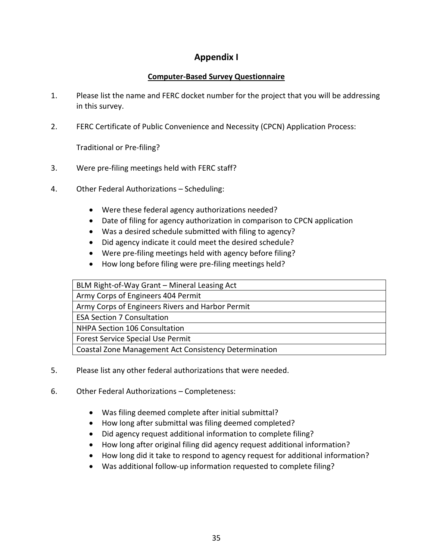# **Appendix I**

# **Computer-Based Survey Questionnaire**

- 1. Please list the name and FERC docket number for the project that you will be addressing in this survey.
- 2. FERC Certificate of Public Convenience and Necessity (CPCN) Application Process:

Traditional or Pre-filing?

- 3. Were pre-filing meetings held with FERC staff?
- 4. Other Federal Authorizations Scheduling:
	- Were these federal agency authorizations needed?
	- Date of filing for agency authorization in comparison to CPCN application
	- Was a desired schedule submitted with filing to agency?
	- Did agency indicate it could meet the desired schedule?
	- Were pre-filing meetings held with agency before filing?
	- How long before filing were pre-filing meetings held?

| BLM Right-of-Way Grant - Mineral Leasing Act          |
|-------------------------------------------------------|
| Army Corps of Engineers 404 Permit                    |
| Army Corps of Engineers Rivers and Harbor Permit      |
| <b>ESA Section 7 Consultation</b>                     |
| NHPA Section 106 Consultation                         |
| Forest Service Special Use Permit                     |
| Coastal Zone Management Act Consistency Determination |

- 5. Please list any other federal authorizations that were needed.
- 6. Other Federal Authorizations Completeness:
	- Was filing deemed complete after initial submittal?
	- How long after submittal was filing deemed completed?
	- Did agency request additional information to complete filing?
	- How long after original filing did agency request additional information?
	- How long did it take to respond to agency request for additional information?
	- Was additional follow-up information requested to complete filing?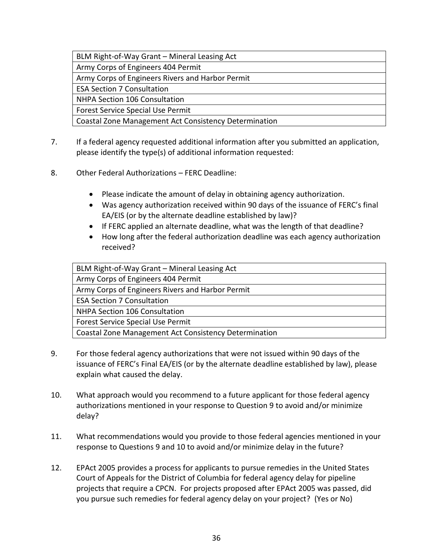| BLM Right-of-Way Grant - Mineral Leasing Act          |
|-------------------------------------------------------|
| Army Corps of Engineers 404 Permit                    |
| Army Corps of Engineers Rivers and Harbor Permit      |
| <b>ESA Section 7 Consultation</b>                     |
| NHPA Section 106 Consultation                         |
| <b>Forest Service Special Use Permit</b>              |
| Coastal Zone Management Act Consistency Determination |

- 7. If a federal agency requested additional information after you submitted an application, please identify the type(s) of additional information requested:
- 8. Other Federal Authorizations FERC Deadline:
	- Please indicate the amount of delay in obtaining agency authorization.
	- Was agency authorization received within 90 days of the issuance of FERC's final EA/EIS (or by the alternate deadline established by law)?
	- If FERC applied an alternate deadline, what was the length of that deadline?
	- How long after the federal authorization deadline was each agency authorization received?

| BLM Right-of-Way Grant - Mineral Leasing Act          |
|-------------------------------------------------------|
| Army Corps of Engineers 404 Permit                    |
| Army Corps of Engineers Rivers and Harbor Permit      |
| <b>ESA Section 7 Consultation</b>                     |
| NHPA Section 106 Consultation                         |
| Forest Service Special Use Permit                     |
| Coastal Zone Management Act Consistency Determination |
|                                                       |

- 9. For those federal agency authorizations that were not issued within 90 days of the issuance of FERC's Final EA/EIS (or by the alternate deadline established by law), please explain what caused the delay.
- 10. What approach would you recommend to a future applicant for those federal agency authorizations mentioned in your response to Question 9 to avoid and/or minimize delay?
- 11. What recommendations would you provide to those federal agencies mentioned in your response to Questions 9 and 10 to avoid and/or minimize delay in the future?
- 12. EPAct 2005 provides a process for applicants to pursue remedies in the United States Court of Appeals for the District of Columbia for federal agency delay for pipeline projects that require a CPCN. For projects proposed after EPAct 2005 was passed, did you pursue such remedies for federal agency delay on your project? (Yes or No)